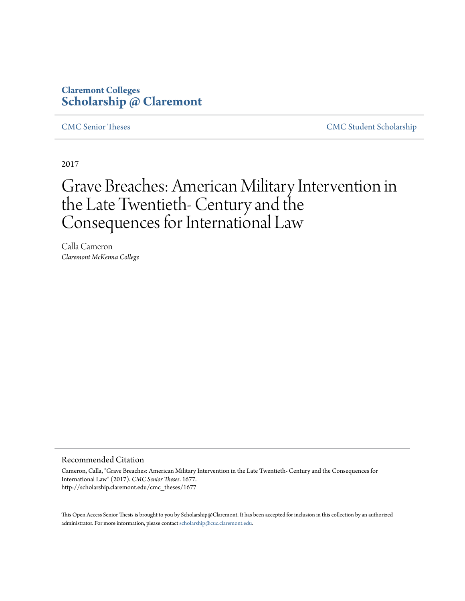# **Claremont Colleges [Scholarship @ Claremont](http://scholarship.claremont.edu)**

[CMC Senior Theses](http://scholarship.claremont.edu/cmc_theses) [CMC Student Scholarship](http://scholarship.claremont.edu/cmc_student)

2017

# Grave Breaches: American Military Intervention in the Late Twentieth- Century and the Consequences for International Law

Calla Cameron *Claremont McKenna College*

#### Recommended Citation

Cameron, Calla, "Grave Breaches: American Military Intervention in the Late Twentieth- Century and the Consequences for International Law" (2017). *CMC Senior Theses*. 1677. http://scholarship.claremont.edu/cmc\_theses/1677

This Open Access Senior Thesis is brought to you by Scholarship@Claremont. It has been accepted for inclusion in this collection by an authorized administrator. For more information, please contact [scholarship@cuc.claremont.edu.](mailto:scholarship@cuc.claremont.edu)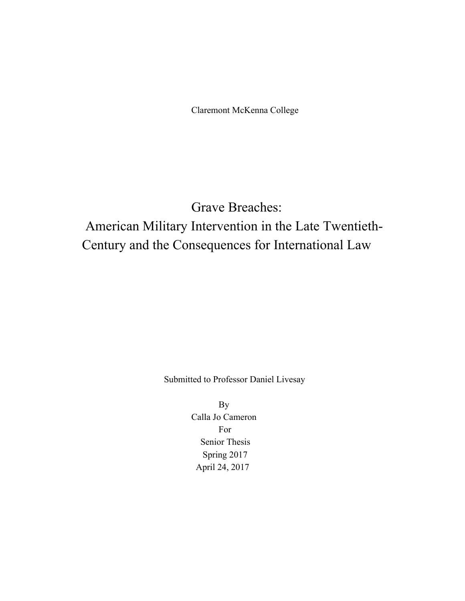Claremont McKenna College

# Grave Breaches: American Military Intervention in the Late Twentieth-Century and the Consequences for International Law

Submitted to Professor Daniel Livesay

By Calla Jo Cameron For Senior Thesis Spring 2017 April 24, 2017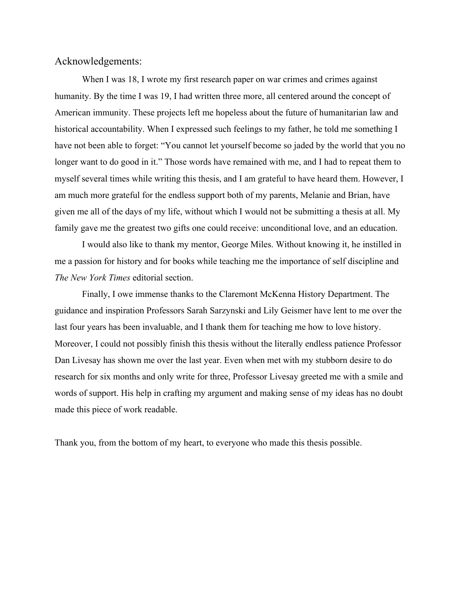# Acknowledgements:

When I was 18, I wrote my first research paper on war crimes and crimes against humanity. By the time I was 19, I had written three more, all centered around the concept of American immunity. These projects left me hopeless about the future of humanitarian law and historical accountability. When I expressed such feelings to my father, he told me something I have not been able to forget: "You cannot let yourself become so jaded by the world that you no longer want to do good in it." Those words have remained with me, and I had to repeat them to myself several times while writing this thesis, and I am grateful to have heard them. However, I am much more grateful for the endless support both of my parents, Melanie and Brian, have given me all of the days of my life, without which I would not be submitting a thesis at all. My family gave me the greatest two gifts one could receive: unconditional love, and an education.

I would also like to thank my mentor, George Miles. Without knowing it, he instilled in me a passion for history and for books while teaching me the importance of self discipline and *The New York Times* editorial section.

Finally, I owe immense thanks to the Claremont McKenna History Department. The guidance and inspiration Professors Sarah Sarzynski and Lily Geismer have lent to me over the last four years has been invaluable, and I thank them for teaching me how to love history. Moreover, I could not possibly finish this thesis without the literally endless patience Professor Dan Livesay has shown me over the last year. Even when met with my stubborn desire to do research for six months and only write for three, Professor Livesay greeted me with a smile and words of support. His help in crafting my argument and making sense of my ideas has no doubt made this piece of work readable.

Thank you, from the bottom of my heart, to everyone who made this thesis possible.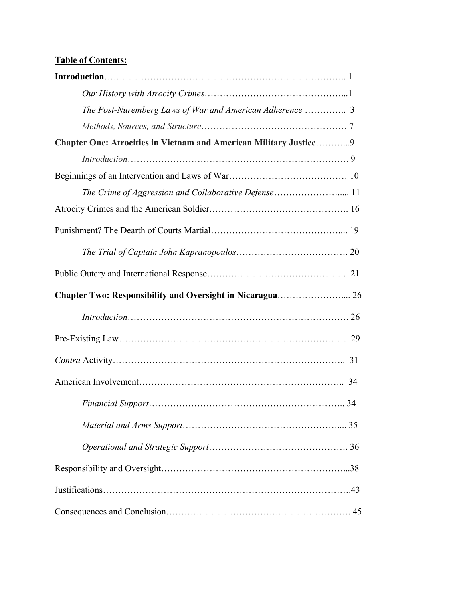# **Table of Contents:**

| The Post-Nuremberg Laws of War and American Adherence  3          |  |
|-------------------------------------------------------------------|--|
|                                                                   |  |
| Chapter One: Atrocities in Vietnam and American Military Justice9 |  |
|                                                                   |  |
|                                                                   |  |
|                                                                   |  |
|                                                                   |  |
|                                                                   |  |
|                                                                   |  |
|                                                                   |  |
|                                                                   |  |
|                                                                   |  |
|                                                                   |  |
|                                                                   |  |
|                                                                   |  |
|                                                                   |  |
|                                                                   |  |
|                                                                   |  |
|                                                                   |  |
|                                                                   |  |
|                                                                   |  |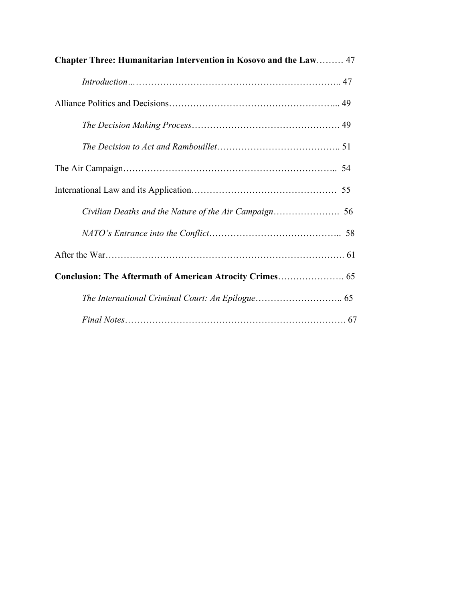| Chapter Three: Humanitarian Intervention in Kosovo and the Law 47 |  |
|-------------------------------------------------------------------|--|
|                                                                   |  |
|                                                                   |  |
|                                                                   |  |
|                                                                   |  |
|                                                                   |  |
|                                                                   |  |
|                                                                   |  |
|                                                                   |  |
|                                                                   |  |
|                                                                   |  |
|                                                                   |  |
|                                                                   |  |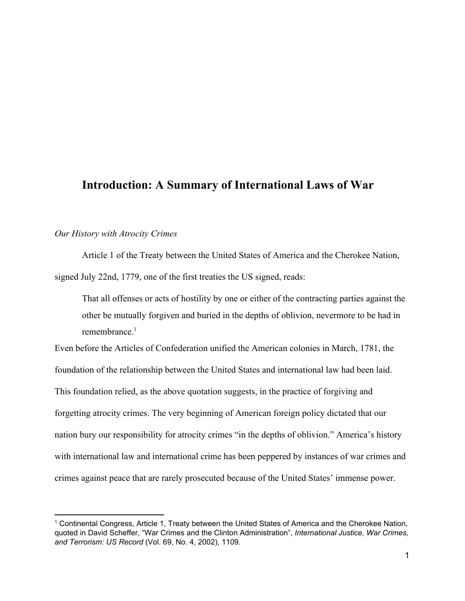# **Introduction: A Summary of International Laws of War**

# *Our History with Atrocity Crimes*

Article 1 of the Treaty between the United States of America and the Cherokee Nation, signed July 22nd, 1779, one of the first treaties the US signed, reads:

That all offenses or acts of hostility by one or either of the contracting parties against the other be mutually forgiven and buried in the depths of oblivion, nevermore to be had in remembrance $1$ 

Even before the Articles of Confederation unified the American colonies in March, 1781, the foundation of the relationship between the United States and international law had been laid. This foundation relied, as the above quotation suggests, in the practice of forgiving and forgetting atrocity crimes. The very beginning of American foreign policy dictated that our nation bury our responsibility for atrocity crimes "in the depths of oblivion." America's history with international law and international crime has been peppered by instances of war crimes and crimes against peace that are rarely prosecuted because of the United States' immense power.

<sup>1</sup> Continental Congress, Article 1, Treaty between the United States of America and the Cherokee Nation, quoted in David Scheffer, "War Crimes and the Clinton Administration", *International Justice, War Crimes, and Terrorism: US Record* (Vol. 69, No. 4, 2002), 1109.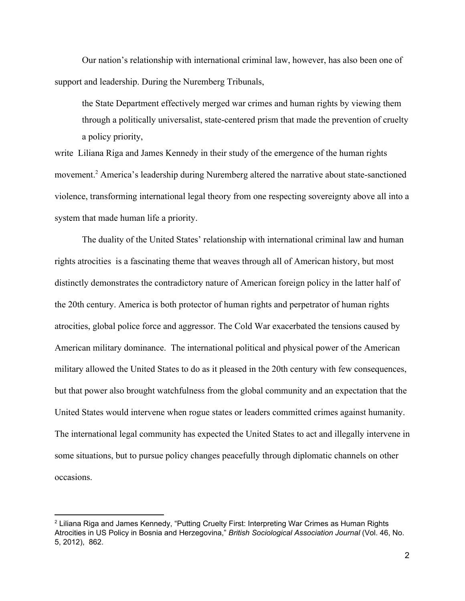Our nation's relationship with international criminal law, however, has also been one of support and leadership. During the Nuremberg Tribunals,

the State Department effectively merged war crimes and human rights by viewing them through a politically universalist, state-centered prism that made the prevention of cruelty a policy priority,

write Liliana Riga and James Kennedy in their study of the emergence of the human rights movement.<sup>2</sup> America's leadership during Nuremberg altered the narrative about state-sanctioned violence, transforming international legal theory from one respecting sovereignty above all into a system that made human life a priority.

The duality of the United States' relationship with international criminal law and human rights atrocities is a fascinating theme that weaves through all of American history, but most distinctly demonstrates the contradictory nature of American foreign policy in the latter half of the 20th century. America is both protector of human rights and perpetrator of human rights atrocities, global police force and aggressor. The Cold War exacerbated the tensions caused by American military dominance. The international political and physical power of the American military allowed the United States to do as it pleased in the 20th century with few consequences, but that power also brought watchfulness from the global community and an expectation that the United States would intervene when rogue states or leaders committed crimes against humanity. The international legal community has expected the United States to act and illegally intervene in some situations, but to pursue policy changes peacefully through diplomatic channels on other occasions.

<sup>2</sup> Liliana Riga and James Kennedy, "Putting Cruelty First: Interpreting War Crimes as Human Rights Atrocities in US Policy in Bosnia and Herzegovina," *British Sociological Association Journal* (Vol. 46, No. 5, 2012), 862.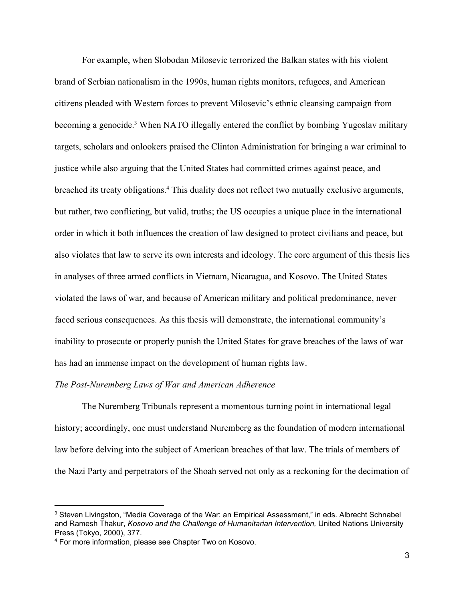For example, when Slobodan Milosevic terrorized the Balkan states with his violent brand of Serbian nationalism in the 1990s, human rights monitors, refugees, and American citizens pleaded with Western forces to prevent Milosevic's ethnic cleansing campaign from becoming a genocide.<sup>3</sup> When NATO illegally entered the conflict by bombing Yugoslav military targets, scholars and onlookers praised the Clinton Administration for bringing a war criminal to justice while also arguing that the United States had committed crimes against peace, and breached its treaty obligations.<sup>4</sup> This duality does not reflect two mutually exclusive arguments, but rather, two conflicting, but valid, truths; the US occupies a unique place in the international order in which it both influences the creation of law designed to protect civilians and peace, but also violates that law to serve its own interests and ideology. The core argument of this thesis lies in analyses of three armed conflicts in Vietnam, Nicaragua, and Kosovo. The United States violated the laws of war, and because of American military and political predominance, never faced serious consequences. As this thesis will demonstrate, the international community's inability to prosecute or properly punish the United States for grave breaches of the laws of war has had an immense impact on the development of human rights law.

### *The Post-Nuremberg Laws of War and American Adherence*

The Nuremberg Tribunals represent a momentous turning point in international legal history; accordingly, one must understand Nuremberg as the foundation of modern international law before delving into the subject of American breaches of that law. The trials of members of the Nazi Party and perpetrators of the Shoah served not only as a reckoning for the decimation of

<sup>&</sup>lt;sup>3</sup> Steven Livingston, "Media Coverage of the War: an Empirical Assessment," in eds. Albrecht Schnabel and Ramesh Thakur, *Kosovo and the Challenge of Humanitarian Intervention,* United Nations University Press (Tokyo, 2000), 377.

<sup>4</sup> For more information, please see Chapter Two on Kosovo.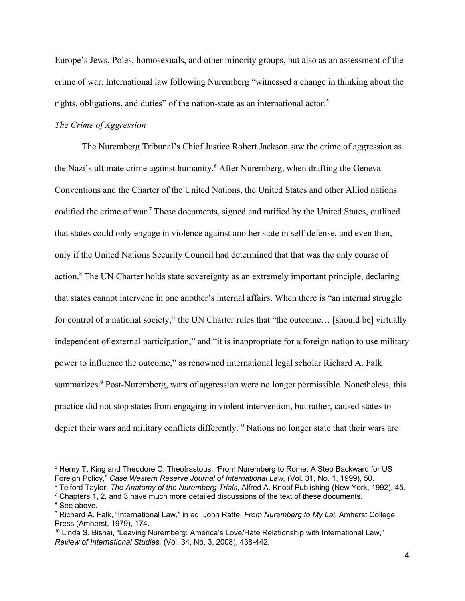Europe's Jews, Poles, homosexuals, and other minority groups, but also as an assessment of the crime of war. International law following Nuremberg "witnessed a change in thinking about the rights, obligations, and duties" of the nation-state as an international actor.<sup>5</sup>

# *The Crime of Aggression*

The Nuremberg Tribunal's Chief Justice Robert Jackson saw the crime of aggression as the Nazi's ultimate crime against humanity.<sup>6</sup> After Nuremberg, when drafting the Geneva Conventions and the Charter of the United Nations, the United States and other Allied nations codified the crime of war.<sup>7</sup> These documents, signed and ratified by the United States, outlined that states could only engage in violence against another state in self-defense, and even then, only if the United Nations Security Council had determined that that was the only course of action.<sup>8</sup> The UN Charter holds state sovereignty as an extremely important principle, declaring that states cannot intervene in one another's internal affairs. When there is "an internal struggle for control of a national society," the UN Charter rules that "the outcome... [should be] virtually independent of external participation," and "it is inappropriate for a foreign nation to use military power to influence the outcome," as renowned international legal scholar Richard A. Falk summarizes.<sup>9</sup> Post-Nuremberg, wars of aggression were no longer permissible. Nonetheless, this practice did not stop states from engaging in violent intervention, but rather, caused states to depict their wars and military conflicts differently.<sup>10</sup> Nations no longer state that their wars are

<sup>5</sup> Henry T. King and Theodore C. Theofrastous, "From Nuremberg to Rome: A Step Backward for US Foreign Policy," *Case Western Reserve Journal of International Law,* (Vol. 31, No. 1, 1999), 50.

<sup>6</sup> Telford Taylor, *The Anatomy of the Nuremberg Trials*, Alfred A. Knopf Publishing (New York, 1992), 45.  $7$  Chapters 1, 2, and 3 have much more detailed discussions of the text of these documents.

<sup>&</sup>lt;sup>8</sup> See above.

<sup>9</sup> Richard A. Falk, "International Law," in ed. John Ratte, *From Nuremberg to My Lai*, Amherst College Press (Amherst, 1979), 174.

 $10$  Linda S. Bishai, "Leaving Nuremberg: America's Love/Hate Relationship with International Law," *Review of International Studies,* (Vol. 34, No. 3, 2008), 438-442.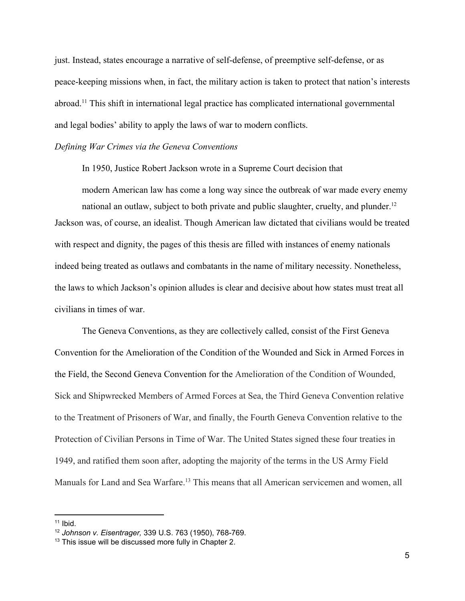just. Instead, states encourage a narrative of self-defense, of preemptive self-defense, or as peace-keeping missions when, in fact, the military action is taken to protect that nation's interests  $abroad$ <sup>11</sup>. This shift in international legal practice has complicated international governmental and legal bodies' ability to apply the laws of war to modern conflicts.

### *Defining War Crimes via the Geneva Conventions*

In 1950, Justice Robert Jackson wrote in a Supreme Court decision that

modern American law has come a long way since the outbreak of war made every enemy national an outlaw, subject to both private and public slaughter, cruelty, and plunder.<sup>12</sup> Jackson was, of course, an idealist. Though American law dictated that civilians would be treated with respect and dignity, the pages of this thesis are filled with instances of enemy nationals indeed being treated as outlaws and combatants in the name of military necessity. Nonetheless, the laws to which Jackson's opinion alludes is clear and decisive about how states must treat all civilians in times of war.

The Geneva Conventions, as they are collectively called, consist of the First Geneva Convention for the Amelioration of the Condition of the Wounded and Sick in Armed Forces in the Field, the Second Geneva Convention for the Amelioration of the Condition of Wounded, Sick and Shipwrecked Members of Armed Forces at Sea, the Third Geneva Convention relative to the Treatment of Prisoners of War, and finally, the Fourth Geneva Convention relative to the Protection of Civilian Persons in Time of War. The United States signed these four treaties in 1949, and ratified them soon after, adopting the majority of the terms in the US Army Field Manuals for Land and Sea Warfare.<sup>13</sup> This means that all American servicemen and women, all

 $11$  Ibid.

<sup>12</sup> *Johnson v. Eisentrager,* 339 U.S. 763 (1950), 768-769.

<sup>&</sup>lt;sup>13</sup> This issue will be discussed more fully in Chapter 2.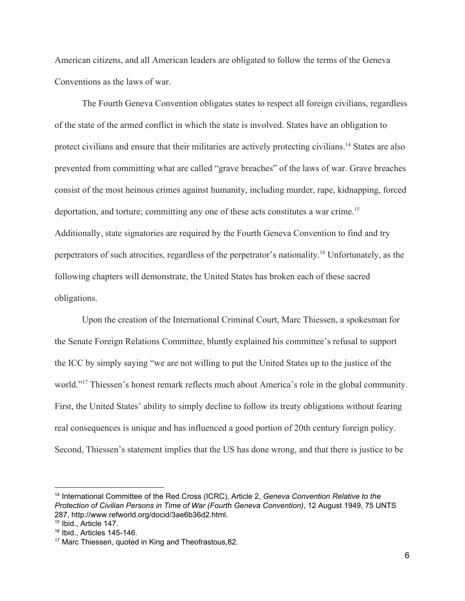American citizens, and all American leaders are obligated to follow the terms of the Geneva Conventions as the laws of war.

The Fourth Geneva Convention obligates states to respect all foreign civilians, regardless of the state of the armed conflict in which the state is involved. States have an obligation to protect civilians and ensure that their militaries are actively protecting civilians.<sup>14</sup> States are also prevented from committing what are called "grave breaches" of the laws of war. Grave breaches consist of the most heinous crimes against humanity, including murder, rape, kidnapping, forced deportation, and torture; committing any one of these acts constitutes a war crime.<sup>15</sup> Additionally, state signatories are required by the Fourth Geneva Convention to find and try perpetrators of such atrocities, regardless of the perpetrator's nationality.<sup>16</sup> Unfortunately, as the following chapters will demonstrate, the United States has broken each of these sacred obligations.

Upon the creation of the International Criminal Court, Marc Thiessen, a spokesman for the Senate Foreign Relations Committee, bluntly explained his committee's refusal to support the ICC by simply saying "we are not willing to put the United States up to the justice of the world."<sup>17</sup> Thiessen's honest remark reflects much about America's role in the global community. First, the United States' ability to simply decline to follow its treaty obligations without fearing real consequences is unique and has influenced a good portion of 20th century foreign policy. Second, Thiessen's statement implies that the US has done wrong, and that there is justice to be

<sup>14</sup> International Committee of the Red Cross (ICRC), Article 2, *Geneva Convention Relative to the Protection of Civilian Persons in Time of War (Fourth Geneva Convention)*, 12 August 1949, 75 UNTS 287, http://www.refworld.org/docid/3ae6b36d2.html.

<sup>15</sup> Ibid., Article 147.

<sup>16</sup> Ibid., Articles 145-146.

<sup>&</sup>lt;sup>17</sup> Marc Thiessen, quoted in King and Theofrastous, 82.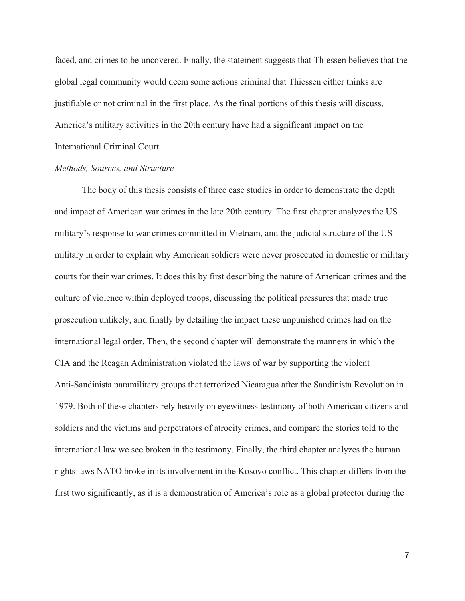faced, and crimes to be uncovered. Finally, the statement suggests that Thiessen believes that the global legal community would deem some actions criminal that Thiessen either thinks are justifiable or not criminal in the first place. As the final portions of this thesis will discuss, America's military activities in the 20th century have had a significant impact on the International Criminal Court.

### *Methods, Sources, and Structure*

The body of this thesis consists of three case studies in order to demonstrate the depth and impact of American war crimes in the late 20th century. The first chapter analyzes the US military's response to war crimes committed in Vietnam, and the judicial structure of the US military in order to explain why American soldiers were never prosecuted in domestic or military courts for their war crimes. It does this by first describing the nature of American crimes and the culture of violence within deployed troops, discussing the political pressures that made true prosecution unlikely, and finally by detailing the impact these unpunished crimes had on the international legal order. Then, the second chapter will demonstrate the manners in which the CIA and the Reagan Administration violated the laws of war by supporting the violent Anti-Sandinista paramilitary groups that terrorized Nicaragua after the Sandinista Revolution in 1979. Both of these chapters rely heavily on eyewitness testimony of both American citizens and soldiers and the victims and perpetrators of atrocity crimes, and compare the stories told to the international law we see broken in the testimony. Finally, the third chapter analyzes the human rights laws NATO broke in its involvement in the Kosovo conflict. This chapter differs from the first two significantly, as it is a demonstration of America's role as a global protector during the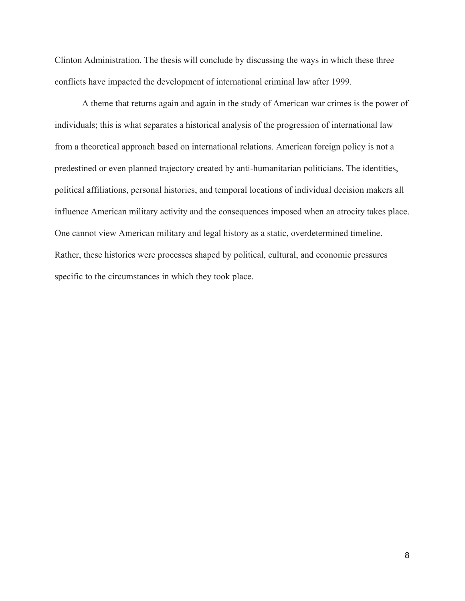Clinton Administration. The thesis will conclude by discussing the ways in which these three conflicts have impacted the development of international criminal law after 1999.

A theme that returns again and again in the study of American war crimes is the power of individuals; this is what separates a historical analysis of the progression of international law from a theoretical approach based on international relations. American foreign policy is not a predestined or even planned trajectory created by anti-humanitarian politicians. The identities, political affiliations, personal histories, and temporal locations of individual decision makers all influence American military activity and the consequences imposed when an atrocity takes place. One cannot view American military and legal history as a static, overdetermined timeline. Rather, these histories were processes shaped by political, cultural, and economic pressures specific to the circumstances in which they took place.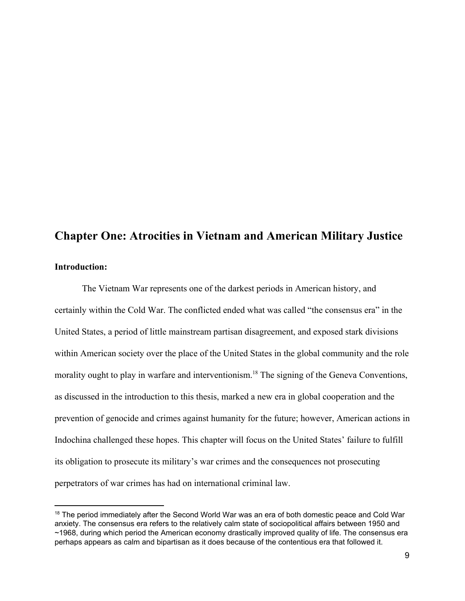# **Chapter One: Atrocities in Vietnam and American Military Justice**

# **Introduction:**

The Vietnam War represents one of the darkest periods in American history, and certainly within the Cold War. The conflicted ended what was called "the consensus era" in the United States, a period of little mainstream partisan disagreement, and exposed stark divisions within American society over the place of the United States in the global community and the role morality ought to play in warfare and interventionism.<sup>18</sup> The signing of the Geneva Conventions, as discussed in the introduction to this thesis, marked a new era in global cooperation and the prevention of genocide and crimes against humanity for the future; however, American actions in Indochina challenged these hopes. This chapter will focus on the United States' failure to fulfill its obligation to prosecute its military's war crimes and the consequences not prosecuting perpetrators of war crimes has had on international criminal law.

<sup>&</sup>lt;sup>18</sup> The period immediately after the Second World War was an era of both domestic peace and Cold War anxiety. The consensus era refers to the relatively calm state of sociopolitical affairs between 1950 and ~1968, during which period the American economy drastically improved quality of life. The consensus era perhaps appears as calm and bipartisan as it does because of the contentious era that followed it.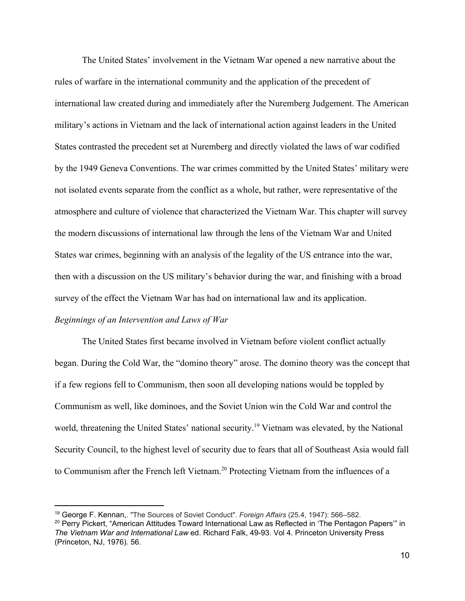The United States' involvement in the Vietnam War opened a new narrative about the rules of warfare in the international community and the application of the precedent of international law created during and immediately after the Nuremberg Judgement. The American military's actions in Vietnam and the lack of international action against leaders in the United States contrasted the precedent set at Nuremberg and directly violated the laws of war codified by the 1949 Geneva Conventions. The war crimes committed by the United States' military were not isolated events separate from the conflict as a whole, but rather, were representative of the atmosphere and culture of violence that characterized the Vietnam War. This chapter will survey the modern discussions of international law through the lens of the Vietnam War and United States war crimes, beginning with an analysis of the legality of the US entrance into the war, then with a discussion on the US military's behavior during the war, and finishing with a broad survey of the effect the Vietnam War has had on international law and its application. *Beginnings of an Intervention and Laws of War*

The United States first became involved in Vietnam before violent conflict actually began. During the Cold War, the "domino theory" arose. The domino theory was the concept that if a few regions fell to Communism, then soon all developing nations would be toppled by Communism as well, like dominoes, and the Soviet Union win the Cold War and control the world, threatening the United States' national security.<sup>19</sup> Vietnam was elevated, by the National Security Council, to the highest level of security due to fears that all of Southeast Asia would fall to Communism after the French left Vietnam.<sup>20</sup> Protecting Vietnam from the influences of a

<sup>19</sup> George F. Kennan,. "The Sources of Soviet Conduct". *Foreign Affairs* (25.4, 1947): 566–582.

<sup>&</sup>lt;sup>20</sup> Perry Pickert, "American Attitudes Toward International Law as Reflected in 'The Pentagon Papers'" in *The Vietnam War and International Law* ed. Richard Falk, 49-93. Vol 4. Princeton University Press (Princeton, NJ, 1976). 56.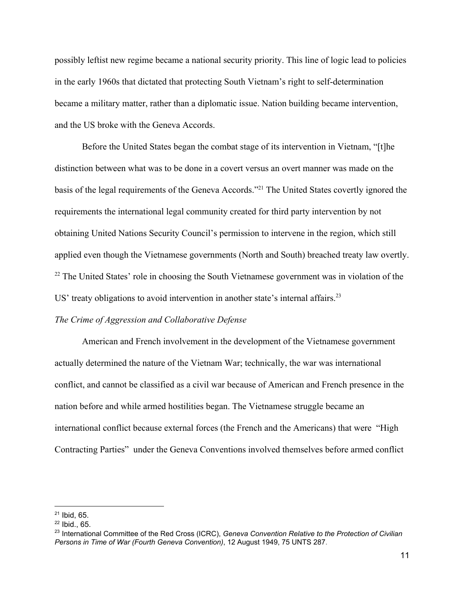possibly leftist new regime became a national security priority. This line of logic lead to policies in the early 1960s that dictated that protecting South Vietnam's right to self-determination became a military matter, rather than a diplomatic issue. Nation building became intervention, and the US broke with the Geneva Accords.

Before the United States began the combat stage of its intervention in Vietnam, "[t]he distinction between what was to be done in a covert versus an overt manner was made on the basis of the legal requirements of the Geneva Accords."<sup>21</sup> The United States covertly ignored the requirements the international legal community created for third party intervention by not obtaining United Nations Security Council's permission to intervene in the region, which still applied even though the Vietnamese governments (North and South) breached treaty law overtly.  $22$  The United States' role in choosing the South Vietnamese government was in violation of the US' treaty obligations to avoid intervention in another state's internal affairs.<sup>23</sup>

# *The Crime of Aggression and Collaborative Defense*

American and French involvement in the development of the Vietnamese government actually determined the nature of the Vietnam War; technically, the war was international conflict, and cannot be classified as a civil war because of American and French presence in the nation before and while armed hostilities began. The Vietnamese struggle became an international conflict because external forces (the French and the Americans) that were "High Contracting Parties" under the Geneva Conventions involved themselves before armed conflict

 $21$  Ibid, 65.

 $22$  Ibid., 65.

<sup>23</sup> International Committee of the Red Cross (ICRC), *Geneva Convention Relative to the Protection of Civilian Persons in Time of War (Fourth Geneva Convention)*, 12 August 1949, 75 UNTS 287.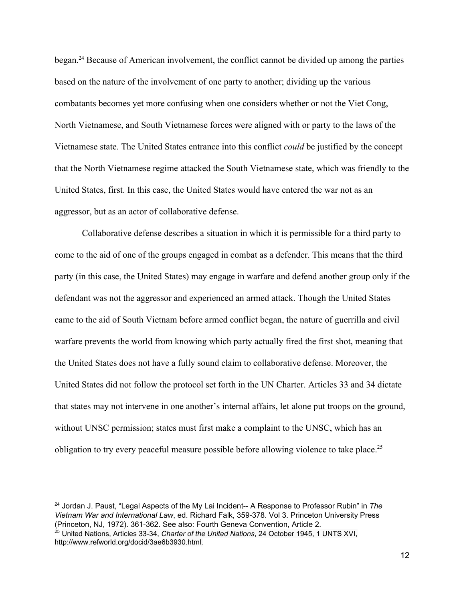began.<sup>24</sup> Because of American involvement, the conflict cannot be divided up among the parties based on the nature of the involvement of one party to another; dividing up the various combatants becomes yet more confusing when one considers whether or not the Viet Cong, North Vietnamese, and South Vietnamese forces were aligned with or party to the laws of the Vietnamese state. The United States entrance into this conflict *could* be justified by the concept that the North Vietnamese regime attacked the South Vietnamese state, which was friendly to the United States, first. In this case, the United States would have entered the war not as an aggressor, but as an actor of collaborative defense.

Collaborative defense describes a situation in which it is permissible for a third party to come to the aid of one of the groups engaged in combat as a defender. This means that the third party (in this case, the United States) may engage in warfare and defend another group only if the defendant was not the aggressor and experienced an armed attack. Though the United States came to the aid of South Vietnam before armed conflict began, the nature of guerrilla and civil warfare prevents the world from knowing which party actually fired the first shot, meaning that the United States does not have a fully sound claim to collaborative defense. Moreover, the United States did not follow the protocol set forth in the UN Charter. Articles 33 and 34 dictate that states may not intervene in one another's internal affairs, let alone put troops on the ground, without UNSC permission; states must first make a complaint to the UNSC, which has an obligation to try every peaceful measure possible before allowing violence to take place.<sup>25</sup>

<sup>24</sup> Jordan J. Paust, "Legal Aspects of the My Lai Incident-- A Response to Professor Rubin" in *The Vietnam War and International Law*, ed. Richard Falk, 359-378. Vol 3. Princeton University Press (Princeton, NJ, 1972). 361-362. See also: Fourth Geneva Convention, Article 2. <sup>25</sup> United Nations, Articles 33-34, *Charter of the United Nations*, 24 October 1945, 1 UNTS XVI,

http://www.refworld.org/docid/3ae6b3930.html.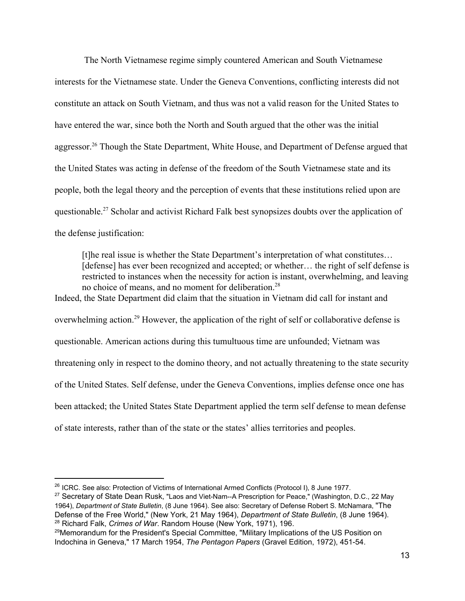The North Vietnamese regime simply countered American and South Vietnamese interests for the Vietnamese state. Under the Geneva Conventions, conflicting interests did not constitute an attack on South Vietnam, and thus was not a valid reason for the United States to have entered the war, since both the North and South argued that the other was the initial aggressor.<sup>26</sup> Though the State Department, White House, and Department of Defense argued that the United States was acting in defense of the freedom of the South Vietnamese state and its people, both the legal theory and the perception of events that these institutions relied upon are questionable.<sup>27</sup> Scholar and activist Richard Falk best synopsizes doubts over the application of the defense justification:

[t]he real issue is whether the State Department's interpretation of what constitutes… [defense] has ever been recognized and accepted; or whether... the right of self defense is restricted to instances when the necessity for action is instant, overwhelming, and leaving no choice of means, and no moment for deliberation.<sup>28</sup> Indeed, the State Department did claim that the situation in Vietnam did call for instant and overwhelming action.<sup>29</sup> However, the application of the right of self or collaborative defense is questionable. American actions during this tumultuous time are unfounded; Vietnam was threatening only in respect to the domino theory, and not actually threatening to the state security of the United States. Self defense, under the Geneva Conventions, implies defense once one has been attacked; the United States State Department applied the term self defense to mean defense of state interests, rather than of the state or the states' allies territories and peoples.

<sup>27</sup> Secretary of State Dean Rusk, "Laos and Viet-Nam--A Prescription for Peace," (Washington, D.C., 22 May 1964), *Department of State Bulletin*, (8 June 1964). See also: Secretary of Defense Robert S. McNamara, "The Defense of the Free World," (New York, 21 May 1964), *Department of State Bulletin*, (8 June 1964). <sup>28</sup> Richard Falk, *Crimes of War*. Random House (New York, 1971), 196.

<sup>&</sup>lt;sup>26</sup> ICRC. See also: Protection of Victims of International Armed Conflicts (Protocol I), 8 June 1977.

<sup>&</sup>lt;sup>29</sup>Memorandum for the President's Special Committee, "Military Implications of the US Position on Indochina in Geneva," 17 March 1954, *The Pentagon Papers* (Gravel Edition, 1972), 451-54.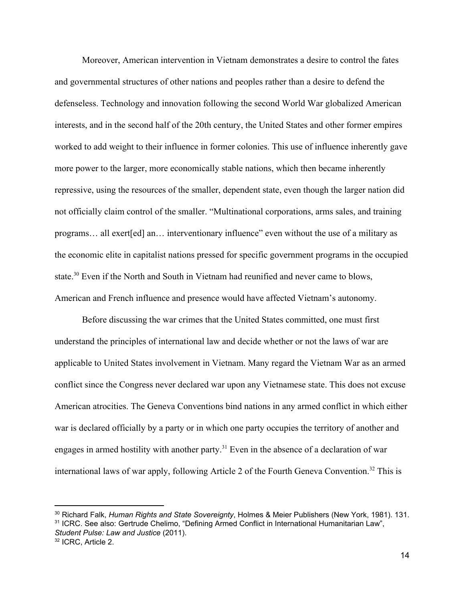Moreover, American intervention in Vietnam demonstrates a desire to control the fates and governmental structures of other nations and peoples rather than a desire to defend the defenseless. Technology and innovation following the second World War globalized American interests, and in the second half of the 20th century, the United States and other former empires worked to add weight to their influence in former colonies. This use of influence inherently gave more power to the larger, more economically stable nations, which then became inherently repressive, using the resources of the smaller, dependent state, even though the larger nation did not officially claim control of the smaller. "Multinational corporations, arms sales, and training programs… all exert[ed] an… interventionary influence" even without the use of a military as the economic elite in capitalist nations pressed for specific government programs in the occupied state.<sup>30</sup> Even if the North and South in Vietnam had reunified and never came to blows, American and French influence and presence would have affected Vietnam's autonomy.

Before discussing the war crimes that the United States committed, one must first understand the principles of international law and decide whether or not the laws of war are applicable to United States involvement in Vietnam. Many regard the Vietnam War as an armed conflict since the Congress never declared war upon any Vietnamese state. This does not excuse American atrocities. The Geneva Conventions bind nations in any armed conflict in which either war is declared officially by a party or in which one party occupies the territory of another and engages in armed hostility with another party.<sup>31</sup> Even in the absence of a declaration of war international laws of war apply, following Article 2 of the Fourth Geneva Convention.<sup>32</sup> This is

<sup>30</sup> Richard Falk, *Human Rights and State Sovereignty*, Holmes & Meier Publishers (New York, 1981). 131. <sup>31</sup> ICRC. See also: Gertrude Chelimo, "Defining Armed Conflict in International Humanitarian Law",

*Student Pulse: Law and Justice* (2011).

<sup>32</sup> ICRC, Article 2.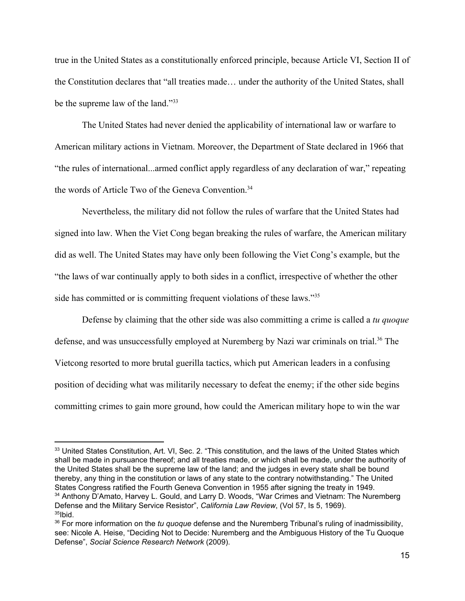true in the United States as a constitutionally enforced principle, because Article VI, Section II of the Constitution declares that "all treaties made… under the authority of the United States, shall be the supreme law of the land."33

The United States had never denied the applicability of international law or warfare to American military actions in Vietnam. Moreover, the Department of State declared in 1966 that "the rules of international...armed conflict apply regardless of any declaration of war," repeating the words of Article Two of the Geneva Convention.<sup>34</sup>

Nevertheless, the military did not follow the rules of warfare that the United States had signed into law. When the Viet Cong began breaking the rules of warfare, the American military did as well. The United States may have only been following the Viet Cong's example, but the "the laws of war continually apply to both sides in a conflict, irrespective of whether the other side has committed or is committing frequent violations of these laws."<sup>35</sup>

Defense by claiming that the other side was also committing a crime is called a *tu quoque* defense, and was unsuccessfully employed at Nuremberg by Nazi war criminals on trial.<sup>36</sup> The Vietcong resorted to more brutal guerilla tactics, which put American leaders in a confusing position of deciding what was militarily necessary to defeat the enemy; if the other side begins committing crimes to gain more ground, how could the American military hope to win the war

<sup>&</sup>lt;sup>33</sup> United States Constitution, Art. VI, Sec. 2. "This constitution, and the laws of the United States which shall be made in pursuance thereof; and all treaties made, or which shall be made, under the authority of the United States shall be the supreme law of the land; and the judges in every state shall be bound thereby, any thing in the constitution or laws of any state to the contrary notwithstanding." The United States Congress ratified the Fourth Geneva Convention in 1955 after signing the treaty in 1949. <sup>34</sup> Anthony D'Amato, Harvey L. Gould, and Larry D. Woods, "War Crimes and Vietnam: The Nuremberg Defense and the Military Service Resistor", *California Law Review*, (Vol 57, Is 5, 1969).  $35$ Ibid.

<sup>36</sup> For more information on the *tu quoque* defense and the Nuremberg Tribunal's ruling of inadmissibility, see: Nicole A. Heise, "Deciding Not to Decide: Nuremberg and the Ambiguous History of the Tu Quoque Defense", *Social Science Research Network* (2009).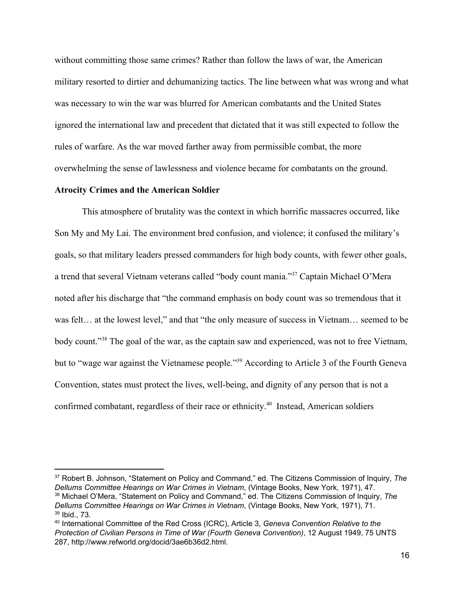without committing those same crimes? Rather than follow the laws of war, the American military resorted to dirtier and dehumanizing tactics. The line between what was wrong and what was necessary to win the war was blurred for American combatants and the United States ignored the international law and precedent that dictated that it was still expected to follow the rules of warfare. As the war moved farther away from permissible combat, the more overwhelming the sense of lawlessness and violence became for combatants on the ground.

# **Atrocity Crimes and the American Soldier**

This atmosphere of brutality was the context in which horrific massacres occurred, like Son My and My Lai. The environment bred confusion, and violence; it confused the military's goals, so that military leaders pressed commanders for high body counts, with fewer other goals, a trend that several Vietnam veterans called "body count mania."<sup>37</sup> Captain Michael O'Mera noted after his discharge that "the command emphasis on body count was so tremendous that it was felt… at the lowest level," and that "the only measure of success in Vietnam… seemed to be body count."<sup>38</sup> The goal of the war, as the captain saw and experienced, was not to free Vietnam, but to "wage war against the Vietnamese people."<sup>39</sup> According to Article 3 of the Fourth Geneva Convention, states must protect the lives, well-being, and dignity of any person that is not a confirmed combatant, regardless of their race or ethnicity.<sup>40</sup> Instead, American soldiers

<sup>37</sup> Robert B. Johnson, "Statement on Policy and Command," ed. The Citizens Commission of Inquiry, *The Dellums Committee Hearings on War Crimes in Vietnam*, (Vintage Books, New York, 1971), 47. <sup>38</sup> Michael O'Mera, "Statement on Policy and Command," ed. The Citizens Commission of Inquiry, *The Dellums Committee Hearings on War Crimes in Vietnam*, (Vintage Books, New York, 1971), 71. <sup>39</sup> Ibid., 73.

<sup>40</sup> International Committee of the Red Cross (ICRC), Article 3, *Geneva Convention Relative to the Protection of Civilian Persons in Time of War (Fourth Geneva Convention)*, 12 August 1949, 75 UNTS 287, http://www.refworld.org/docid/3ae6b36d2.html.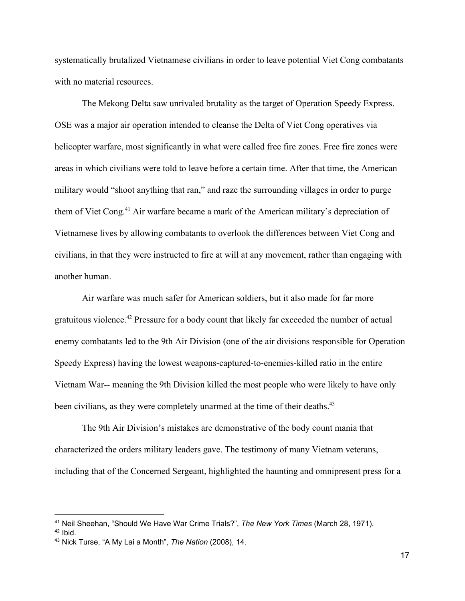systematically brutalized Vietnamese civilians in order to leave potential Viet Cong combatants with no material resources.

The Mekong Delta saw unrivaled brutality as the target of Operation Speedy Express. OSE was a major air operation intended to cleanse the Delta of Viet Cong operatives via helicopter warfare, most significantly in what were called free fire zones. Free fire zones were areas in which civilians were told to leave before a certain time. After that time, the American military would "shoot anything that ran," and raze the surrounding villages in order to purge them of Viet Cong.<sup>41</sup> Air warfare became a mark of the American military's depreciation of Vietnamese lives by allowing combatants to overlook the differences between Viet Cong and civilians, in that they were instructed to fire at will at any movement, rather than engaging with another human.

Air warfare was much safer for American soldiers, but it also made for far more gratuitous violence.<sup> $42$ </sup> Pressure for a body count that likely far exceeded the number of actual enemy combatants led to the 9th Air Division (one of the air divisions responsible for Operation Speedy Express) having the lowest weapons-captured-to-enemies-killed ratio in the entire Vietnam War-- meaning the 9th Division killed the most people who were likely to have only been civilians, as they were completely unarmed at the time of their deaths.<sup>43</sup>

The 9th Air Division's mistakes are demonstrative of the body count mania that characterized the orders military leaders gave. The testimony of many Vietnam veterans, including that of the Concerned Sergeant, highlighted the haunting and omnipresent press for a

<sup>41</sup> Neil Sheehan, "Should We Have War Crime Trials?", *The New York Times* (March 28, 1971).

 $42$  Ibid.

<sup>43</sup> Nick Turse, "A My Lai a Month", *The Nation* (2008), 14.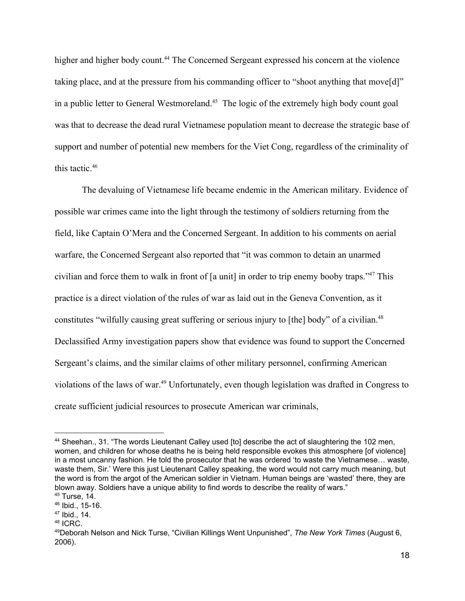higher and higher body count.<sup>44</sup> The Concerned Sergeant expressed his concern at the violence taking place, and at the pressure from his commanding officer to "shoot anything that move[d]" in a public letter to General Westmoreland.<sup>45</sup> The logic of the extremely high body count goal was that to decrease the dead rural Vietnamese population meant to decrease the strategic base of support and number of potential new members for the Viet Cong, regardless of the criminality of this tactic. $46$ 

The devaluing of Vietnamese life became endemic in the American military. Evidence of possible war crimes came into the light through the testimony of soldiers returning from the field, like Captain O'Mera and the Concerned Sergeant. In addition to his comments on aerial warfare, the Concerned Sergeant also reported that "it was common to detain an unarmed civilian and force them to walk in front of  $\lceil a \text{ unit} \rceil$  in order to trip enemy booby traps."<sup>47</sup> This practice is a direct violation of the rules of war as laid out in the Geneva Convention, as it constitutes "wilfully causing great suffering or serious injury to [the] body" of a civilian.<sup>48</sup> Declassified Army investigation papers show that evidence was found to support the Concerned Sergeant's claims, and the similar claims of other military personnel, confirming American violations of the laws of war.<sup>49</sup> Unfortunately, even though legislation was drafted in Congress to create sufficient judicial resources to prosecute American war criminals,

<sup>44</sup> Sheehan., 31. "The words Lieutenant Calley used [to] describe the act of slaughtering the 102 men, women, and children for whose deaths he is being held responsible evokes this atmosphere [of violence] in a most uncanny fashion. He told the prosecutor that he was ordered 'to waste the Vietnamese… waste, waste them, Sir.' Were this just Lieutenant Calley speaking, the word would not carry much meaning, but the word is from the argot of the American soldier in Vietnam. Human beings are 'wasted' there, they are blown away. Soldiers have a unique ability to find words to describe the reality of wars."

<sup>45</sup> Turse, 14.

<sup>46</sup> Ibid., 15-16.

<sup>47</sup> Ibid., 14.

<sup>48</sup> ICRC.

<sup>49</sup>Deborah Nelson and Nick Turse, "Civilian Killings Went Unpunished", *The New York Times* (August 6, 2006).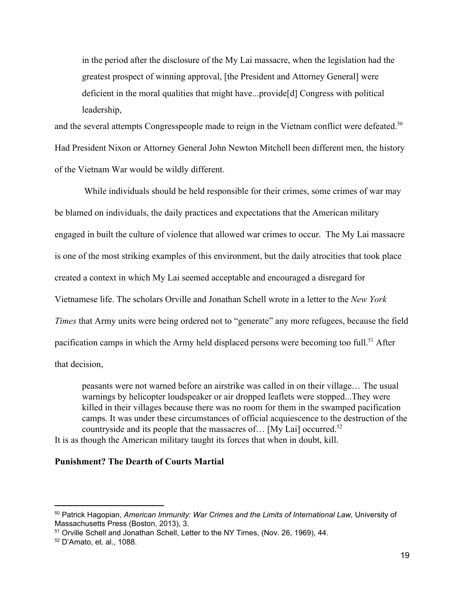in the period after the disclosure of the My Lai massacre, when the legislation had the greatest prospect of winning approval, [the President and Attorney General] were deficient in the moral qualities that might have...provide[d] Congress with political leadership,

and the several attempts Congresspeople made to reign in the Vietnam conflict were defeated.<sup>50</sup> Had President Nixon or Attorney General John Newton Mitchell been different men, the history of the Vietnam War would be wildly different.

 While individuals should be held responsible for their crimes, some crimes of war may be blamed on individuals, the daily practices and expectations that the American military engaged in built the culture of violence that allowed war crimes to occur. The My Lai massacre is one of the most striking examples of this environment, but the daily atrocities that took place created a context in which My Lai seemed acceptable and encouraged a disregard for Vietnamese life. The scholars Orville and Jonathan Schell wrote in a letter to the *New York Times* that Army units were being ordered not to "generate" any more refugees, because the field pacification camps in which the Army held displaced persons were becoming too full.<sup>51</sup> After that decision,

peasants were not warned before an airstrike was called in on their village… The usual warnings by helicopter loudspeaker or air dropped leaflets were stopped...They were killed in their villages because there was no room for them in the swamped pacification camps. It was under these circumstances of official acquiescence to the destruction of the countryside and its people that the massacres of... [My Lai] occurred.<sup>52</sup> It is as though the American military taught its forces that when in doubt, kill.

### **Punishment? The Dearth of Courts Martial**

<sup>50</sup> Patrick Hagopian, *American Immunity: War Crimes and the Limits of International Law,* University of Massachusetts Press (Boston, 2013), 3.

<sup>51</sup> Orville Schell and Jonathan Schell, Letter to the NY Times, (Nov. 26, 1969), 44.

<sup>52</sup> D'Amato, et. al., 1088.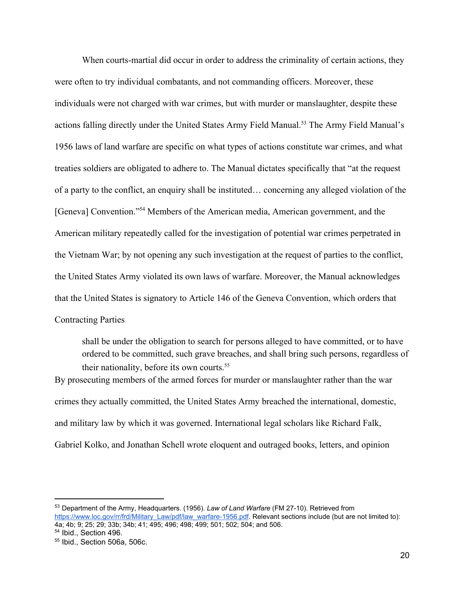When courts-martial did occur in order to address the criminality of certain actions, they were often to try individual combatants, and not commanding officers. Moreover, these individuals were not charged with war crimes, but with murder or manslaughter, despite these actions falling directly under the United States Army Field Manual.<sup>53</sup> The Army Field Manual's 1956 laws of land warfare are specific on what types of actions constitute war crimes, and what treaties soldiers are obligated to adhere to. The Manual dictates specifically that "at the request of a party to the conflict, an enquiry shall be instituted… concerning any alleged violation of the [Geneva] Convention."<sup>54</sup> Members of the American media, American government, and the American military repeatedly called for the investigation of potential war crimes perpetrated in the Vietnam War; by not opening any such investigation at the request of parties to the conflict, the United States Army violated its own laws of warfare. Moreover, the Manual acknowledges that the United States is signatory to Article 146 of the Geneva Convention, which orders that Contracting Parties

shall be under the obligation to search for persons alleged to have committed, or to have ordered to be committed, such grave breaches, and shall bring such persons, regardless of their nationality, before its own courts.<sup>55</sup>

By prosecuting members of the armed forces for murder or manslaughter rather than the war crimes they actually committed, the United States Army breached the international, domestic, and military law by which it was governed. International legal scholars like Richard Falk, Gabriel Kolko, and Jonathan Schell wrote eloquent and outraged books, letters, and opinion

<sup>53</sup> Department of the Army, Headquarters. (1956). *Law of Land Warfare* (FM 27-10). Retrieved from [https://www.loc.gov/rr/frd/Military\\_Law/pdf/law\\_warfare-1956.pdf.](https://www.loc.gov/rr/frd/Military_Law/pdf/law_warfare-1956.pdf) Relevant sections include (but are not limited to): 4a; 4b; 9; 25; 29; 33b; 34b; 41; 495; 496; 498; 499; 501; 502; 504; and 506.

<sup>54</sup> Ibid., Section 496.

<sup>55</sup> Ibid., Section 506a, 506c.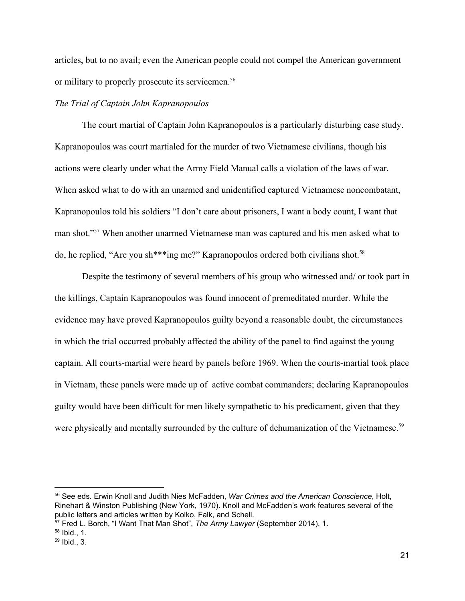articles, but to no avail; even the American people could not compel the American government or military to properly prosecute its servicemen.<sup>56</sup>

## *The Trial of Captain John Kapranopoulos*

The court martial of Captain John Kapranopoulos is a particularly disturbing case study. Kapranopoulos was court martialed for the murder of two Vietnamese civilians, though his actions were clearly under what the Army Field Manual calls a violation of the laws of war. When asked what to do with an unarmed and unidentified captured Vietnamese noncombatant, Kapranopoulos told his soldiers "I don't care about prisoners, I want a body count, I want that man shot."<sup>57</sup> When another unarmed Vietnamese man was captured and his men asked what to do, he replied, "Are you sh\*\*\*ing me?" Kapranopoulos ordered both civilians shot.58

Despite the testimony of several members of his group who witnessed and/ or took part in the killings, Captain Kapranopoulos was found innocent of premeditated murder. While the evidence may have proved Kapranopoulos guilty beyond a reasonable doubt, the circumstances in which the trial occurred probably affected the ability of the panel to find against the young captain. All courts-martial were heard by panels before 1969. When the courts-martial took place in Vietnam, these panels were made up of active combat commanders; declaring Kapranopoulos guilty would have been difficult for men likely sympathetic to his predicament, given that they were physically and mentally surrounded by the culture of dehumanization of the Vietnamese.<sup>59</sup>

<sup>56</sup> See eds. Erwin Knoll and Judith Nies McFadden, *War Crimes and the American Conscience*, Holt, Rinehart & Winston Publishing (New York, 1970). Knoll and McFadden's work features several of the public letters and articles written by Kolko, Falk, and Schell.

<sup>57</sup> Fred L. Borch, "I Want That Man Shot", *The Army Lawyer* (September 2014), 1.

<sup>58</sup> Ibid., 1.

<sup>59</sup> Ibid., 3.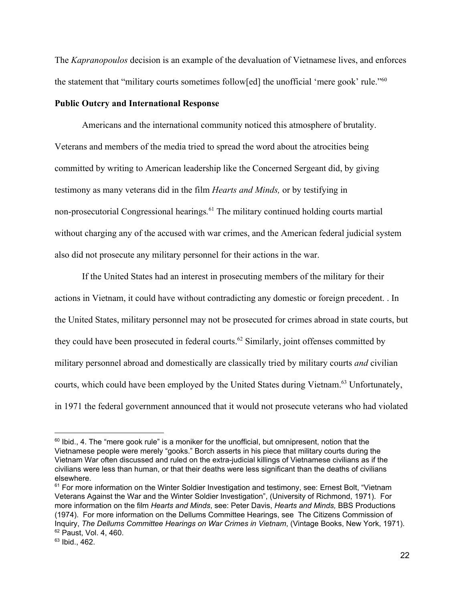The *Kapranopoulos* decision is an example of the devaluation of Vietnamese lives, and enforces the statement that "military courts sometimes follow[ed] the unofficial 'mere gook' rule."60

### **Public Outcry and International Response**

Americans and the international community noticed this atmosphere of brutality. Veterans and members of the media tried to spread the word about the atrocities being committed by writing to American leadership like the Concerned Sergeant did, by giving testimony as many veterans did in the film *Hearts and Minds,* or by testifying in non-prosecutorial Congressional hearings.<sup>61</sup> The military continued holding courts martial without charging any of the accused with war crimes, and the American federal judicial system also did not prosecute any military personnel for their actions in the war.

If the United States had an interest in prosecuting members of the military for their actions in Vietnam, it could have without contradicting any domestic or foreign precedent. . In the United States, military personnel may not be prosecuted for crimes abroad in state courts, but they could have been prosecuted in federal courts.<sup> $62$ </sup> Similarly, joint offenses committed by military personnel abroad and domestically are classically tried by military courts *and* civilian courts, which could have been employed by the United States during Vietnam.<sup>63</sup> Unfortunately, in 1971 the federal government announced that it would not prosecute veterans who had violated

 $60$  lbid., 4. The "mere gook rule" is a moniker for the unofficial, but omnipresent, notion that the Vietnamese people were merely "gooks." Borch asserts in his piece that military courts during the Vietnam War often discussed and ruled on the extra-judicial killings of Vietnamese civilians as if the civilians were less than human, or that their deaths were less significant than the deaths of civilians elsewhere.

 $61$  For more information on the Winter Soldier Investigation and testimony, see: Ernest Bolt, "Vietnam Veterans Against the War and the Winter Soldier Investigation", (University of Richmond, 1971). For more information on the film *Hearts and Minds*, see: Peter Davis, *Hearts and Minds,* BBS Productions (1974). For more information on the Dellums Committee Hearings, see The Citizens Commission of Inquiry, *The Dellums Committee Hearings on War Crimes in Vietnam*, (Vintage Books, New York, 1971). <sup>62</sup> Paust, Vol. 4, 460.

 $63$  Ibid., 462.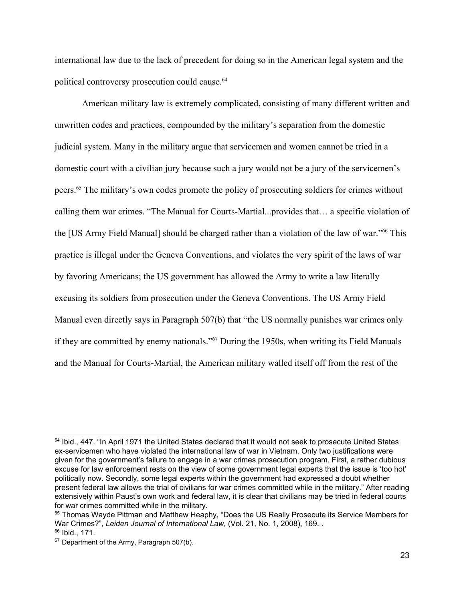international law due to the lack of precedent for doing so in the American legal system and the political controversy prosecution could cause.<sup>64</sup>

American military law is extremely complicated, consisting of many different written and unwritten codes and practices, compounded by the military's separation from the domestic judicial system. Many in the military argue that servicemen and women cannot be tried in a domestic court with a civilian jury because such a jury would not be a jury of the servicemen's peers.<sup>65</sup> The military's own codes promote the policy of prosecuting soldiers for crimes without calling them war crimes. "The Manual for Courts-Martial...provides that… a specific violation of the [US Army Field Manual] should be charged rather than a violation of the law of war."<sup>66</sup> This practice is illegal under the Geneva Conventions, and violates the very spirit of the laws of war by favoring Americans; the US government has allowed the Army to write a law literally excusing its soldiers from prosecution under the Geneva Conventions. The US Army Field Manual even directly says in Paragraph 507(b) that "the US normally punishes war crimes only if they are committed by enemy nationals."<sup>67</sup> During the 1950s, when writing its Field Manuals and the Manual for Courts-Martial, the American military walled itself off from the rest of the

<sup>&</sup>lt;sup>64</sup> Ibid., 447. "In April 1971 the United States declared that it would not seek to prosecute United States ex-servicemen who have violated the international law of war in Vietnam. Only two justifications were given for the government's failure to engage in a war crimes prosecution program. First, a rather dubious excuse for law enforcement rests on the view of some government legal experts that the issue is 'too hot' politically now. Secondly, some legal experts within the government had expressed a doubt whether present federal law allows the trial of civilians for war crimes committed while in the military." After reading extensively within Paust's own work and federal law, it is clear that civilians may be tried in federal courts for war crimes committed while in the military.

<sup>&</sup>lt;sup>65</sup> Thomas Wayde Pittman and Matthew Heaphy, "Does the US Really Prosecute its Service Members for War Crimes?", *Leiden Journal of International Law,* (Vol. 21, No. 1, 2008), 169. .

 $66$  Ibid., 171.

<sup>&</sup>lt;sup>67</sup> Department of the Army, Paragraph 507(b).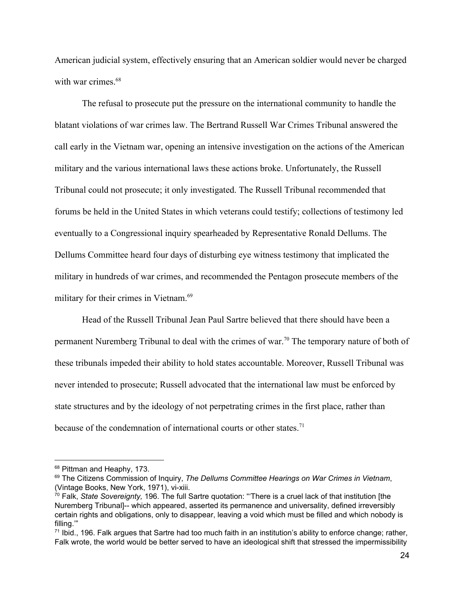American judicial system, effectively ensuring that an American soldier would never be charged with war crimes  $68$ 

The refusal to prosecute put the pressure on the international community to handle the blatant violations of war crimes law. The Bertrand Russell War Crimes Tribunal answered the call early in the Vietnam war, opening an intensive investigation on the actions of the American military and the various international laws these actions broke. Unfortunately, the Russell Tribunal could not prosecute; it only investigated. The Russell Tribunal recommended that forums be held in the United States in which veterans could testify; collections of testimony led eventually to a Congressional inquiry spearheaded by Representative Ronald Dellums. The Dellums Committee heard four days of disturbing eye witness testimony that implicated the military in hundreds of war crimes, and recommended the Pentagon prosecute members of the military for their crimes in Vietnam.<sup>69</sup>

Head of the Russell Tribunal Jean Paul Sartre believed that there should have been a permanent Nuremberg Tribunal to deal with the crimes of war.<sup>70</sup> The temporary nature of both of these tribunals impeded their ability to hold states accountable. Moreover, Russell Tribunal was never intended to prosecute; Russell advocated that the international law must be enforced by state structures and by the ideology of not perpetrating crimes in the first place, rather than because of the condemnation of international courts or other states.<sup>71</sup>

<sup>&</sup>lt;sup>68</sup> Pittman and Heaphy, 173.

<sup>69</sup> The Citizens Commission of Inquiry, *The Dellums Committee Hearings on War Crimes in Vietnam*, (Vintage Books, New York, 1971), vi-xiii.

<sup>70</sup> Falk, *State Sovereignty,* 196. The full Sartre quotation: "'There is a cruel lack of that institution [the Nuremberg Tribunal]-- which appeared, asserted its permanence and universality, defined irreversibly certain rights and obligations, only to disappear, leaving a void which must be filled and which nobody is filling.'"

 $71$  Ibid., 196. Falk argues that Sartre had too much faith in an institution's ability to enforce change; rather, Falk wrote, the world would be better served to have an ideological shift that stressed the impermissibility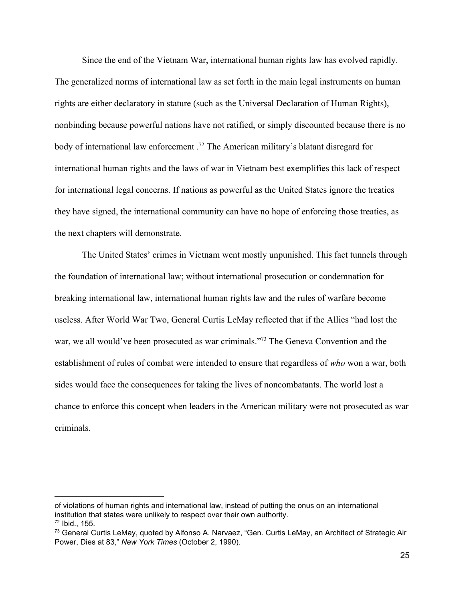Since the end of the Vietnam War, international human rights law has evolved rapidly. The generalized norms of international law as set forth in the main legal instruments on human rights are either declaratory in stature (such as the Universal Declaration of Human Rights), nonbinding because powerful nations have not ratified, or simply discounted because there is no body of international law enforcement  $^{72}$  The American military's blatant disregard for international human rights and the laws of war in Vietnam best exemplifies this lack of respect for international legal concerns. If nations as powerful as the United States ignore the treaties they have signed, the international community can have no hope of enforcing those treaties, as the next chapters will demonstrate.

The United States' crimes in Vietnam went mostly unpunished. This fact tunnels through the foundation of international law; without international prosecution or condemnation for breaking international law, international human rights law and the rules of warfare become useless. After World War Two, General Curtis LeMay reflected that if the Allies "had lost the war, we all would've been prosecuted as war criminals."<sup>73</sup> The Geneva Convention and the establishment of rules of combat were intended to ensure that regardless of *who* won a war, both sides would face the consequences for taking the lives of noncombatants. The world lost a chance to enforce this concept when leaders in the American military were not prosecuted as war criminals.

of violations of human rights and international law, instead of putting the onus on an international institution that states were unlikely to respect over their own authority.

<sup>72</sup> Ibid., 155.

<sup>&</sup>lt;sup>73</sup> General Curtis LeMay, quoted by Alfonso A. Narvaez, "Gen. Curtis LeMay, an Architect of Strategic Air Power, Dies at 83," *New York Times* (October 2, 1990).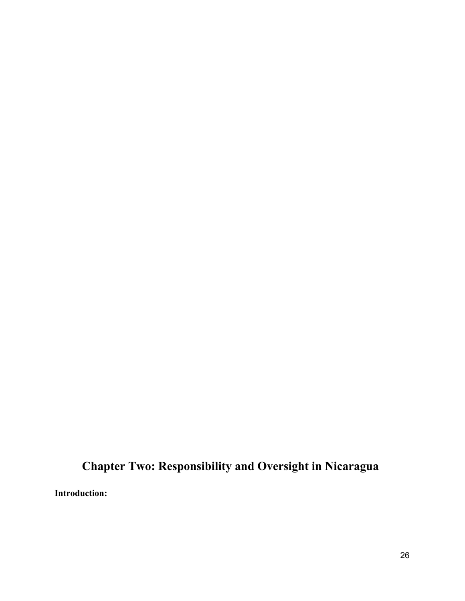# **Chapter Two: Responsibility and Oversight in Nicaragua**

**Introduction:**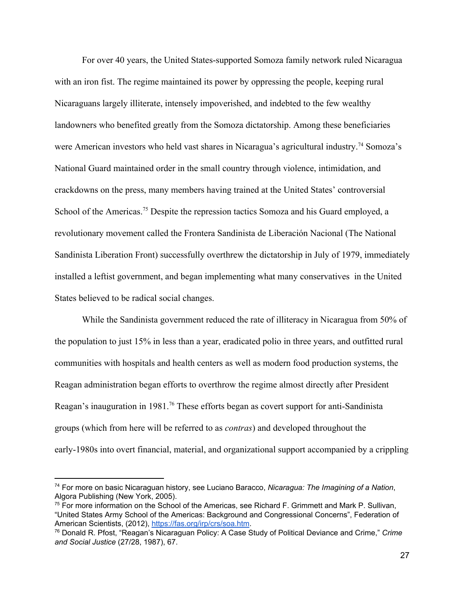For over 40 years, the United States-supported Somoza family network ruled Nicaragua with an iron fist. The regime maintained its power by oppressing the people, keeping rural Nicaraguans largely illiterate, intensely impoverished, and indebted to the few wealthy landowners who benefited greatly from the Somoza dictatorship. Among these beneficiaries were American investors who held vast shares in Nicaragua's agricultural industry.<sup>74</sup> Somoza's National Guard maintained order in the small country through violence, intimidation, and crackdowns on the press, many members having trained at the United States' controversial School of the Americas.<sup>75</sup> Despite the repression tactics Somoza and his Guard employed, a revolutionary movement called the Frontera Sandinista de Liberación Nacional (The National Sandinista Liberation Front) successfully overthrew the dictatorship in July of 1979, immediately installed a leftist government, and began implementing what many conservatives in the United States believed to be radical social changes.

While the Sandinista government reduced the rate of illiteracy in Nicaragua from 50% of the population to just 15% in less than a year, eradicated polio in three years, and outfitted rural communities with hospitals and health centers as well as modern food production systems, the Reagan administration began efforts to overthrow the regime almost directly after President Reagan's inauguration in 1981.<sup>76</sup> These efforts began as covert support for anti-Sandinista groups (which from here will be referred to as *contras*) and developed throughout the early-1980s into overt financial, material, and organizational support accompanied by a crippling

<sup>74</sup> For more on basic Nicaraguan history, see Luciano Baracco, *Nicaragua: The Imagining of a Nation*, Algora Publishing (New York, 2005).

 $75$  For more information on the School of the Americas, see Richard F. Grimmett and Mark P. Sullivan, "United States Army School of the Americas: Background and Congressional Concerns", Federation of American Scientists, (2012), [https://fas.org/irp/crs/soa.htm.](https://fas.org/irp/crs/soa.htm)

<sup>76</sup> Donald R. Pfost, "Reagan's Nicaraguan Policy: A Case Study of Political Deviance and Crime," *Crime and Social Justice* (27/28, 1987), 67.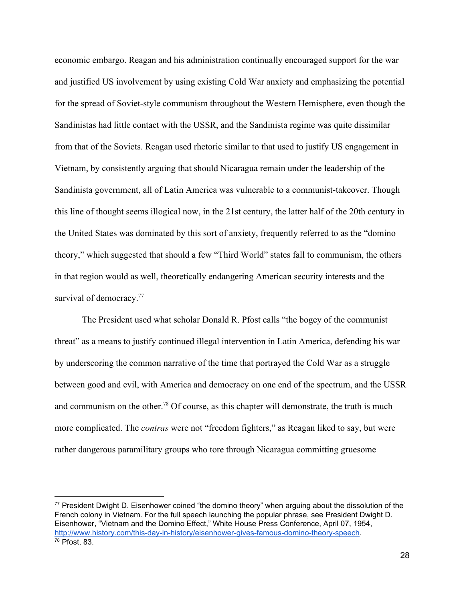economic embargo. Reagan and his administration continually encouraged support for the war and justified US involvement by using existing Cold War anxiety and emphasizing the potential for the spread of Soviet-style communism throughout the Western Hemisphere, even though the Sandinistas had little contact with the USSR, and the Sandinista regime was quite dissimilar from that of the Soviets. Reagan used rhetoric similar to that used to justify US engagement in Vietnam, by consistently arguing that should Nicaragua remain under the leadership of the Sandinista government, all of Latin America was vulnerable to a communist-takeover. Though this line of thought seems illogical now, in the 21st century, the latter half of the 20th century in the United States was dominated by this sort of anxiety, frequently referred to as the "domino theory," which suggested that should a few "Third World" states fall to communism, the others in that region would as well, theoretically endangering American security interests and the survival of democracy.<sup>77</sup>

The President used what scholar Donald R. Pfost calls "the bogey of the communist threat" as a means to justify continued illegal intervention in Latin America, defending his war by underscoring the common narrative of the time that portrayed the Cold War as a struggle between good and evil, with America and democracy on one end of the spectrum, and the USSR and communism on the other.<sup>78</sup> Of course, as this chapter will demonstrate, the truth is much more complicated. The *contras* were not "freedom fighters," as Reagan liked to say, but were rather dangerous paramilitary groups who tore through Nicaragua committing gruesome

 $77$  President Dwight D. Eisenhower coined "the domino theory" when arguing about the dissolution of the French colony in Vietnam. For the full speech launching the popular phrase, see President Dwight D. Eisenhower, "Vietnam and the Domino Effect," White House Press Conference, April 07, 1954, [http://www.history.com/this-day-in-history/eisenhower-gives-famous-domino-theory-speech.](http://www.history.com/this-day-in-history/eisenhower-gives-famous-domino-theory-speech) <sup>78</sup> Pfost, 83.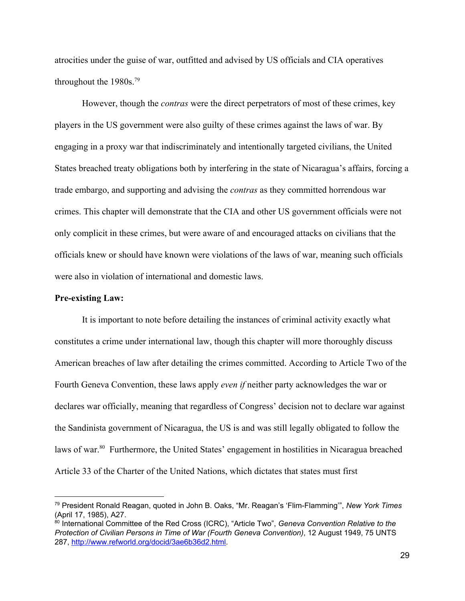atrocities under the guise of war, outfitted and advised by US officials and CIA operatives throughout the 1980s.79

However, though the *contras* were the direct perpetrators of most of these crimes, key players in the US government were also guilty of these crimes against the laws of war. By engaging in a proxy war that indiscriminately and intentionally targeted civilians, the United States breached treaty obligations both by interfering in the state of Nicaragua's affairs, forcing a trade embargo, and supporting and advising the *contras* as they committed horrendous war crimes. This chapter will demonstrate that the CIA and other US government officials were not only complicit in these crimes, but were aware of and encouraged attacks on civilians that the officials knew or should have known were violations of the laws of war, meaning such officials were also in violation of international and domestic laws.

# **Pre-existing Law:**

It is important to note before detailing the instances of criminal activity exactly what constitutes a crime under international law, though this chapter will more thoroughly discuss American breaches of law after detailing the crimes committed. According to Article Two of the Fourth Geneva Convention, these laws apply *even if* neither party acknowledges the war or declares war officially, meaning that regardless of Congress' decision not to declare war against the Sandinista government of Nicaragua, the US is and was still legally obligated to follow the laws of war.<sup>80</sup> Furthermore, the United States' engagement in hostilities in Nicaragua breached Article 33 of the Charter of the United Nations, which dictates that states must first

<sup>79</sup> President Ronald Reagan, quoted in John B. Oaks, "Mr. Reagan's 'Flim-Flamming'", *New York Times* (April 17, 1985), A27.

<sup>80</sup> International Committee of the Red Cross (ICRC), "Article Two", *Geneva Convention Relative to the Protection of Civilian Persons in Time of War (Fourth Geneva Convention)*, 12 August 1949, 75 UNTS 287, [http://www.refworld.org/docid/3ae6b36d2.html.](http://www.refworld.org/docid/3ae6b36d2.html)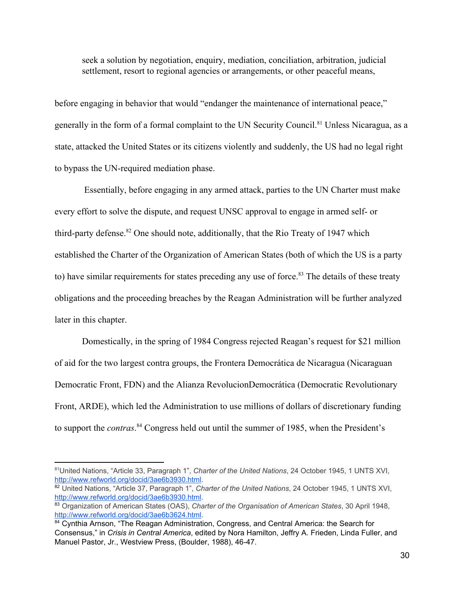seek a solution by negotiation, enquiry, mediation, conciliation, arbitration, judicial settlement, resort to regional agencies or arrangements, or other peaceful means,

before engaging in behavior that would "endanger the maintenance of international peace," generally in the form of a formal complaint to the UN Security Council.<sup>81</sup> Unless Nicaragua, as a state, attacked the United States or its citizens violently and suddenly, the US had no legal right to bypass the UN-required mediation phase.

 Essentially, before engaging in any armed attack, parties to the UN Charter must make every effort to solve the dispute, and request UNSC approval to engage in armed self- or third-party defense.  $82$  One should note, additionally, that the Rio Treaty of 1947 which established the Charter of the Organization of American States (both of which the US is a party to) have similar requirements for states preceding any use of force.<sup>83</sup> The details of these treaty obligations and the proceeding breaches by the Reagan Administration will be further analyzed later in this chapter.

Domestically, in the spring of 1984 Congress rejected Reagan's request for \$21 million of aid for the two largest contra groups, the Frontera Democrática de Nicaragua (Nicaraguan Democratic Front, FDN) and the Alianza RevolucionDemocrática (Democratic Revolutionary Front, ARDE), which led the Administration to use millions of dollars of discretionary funding to support the *contras*.<sup>84</sup> Congress held out until the summer of 1985, when the President's

<sup>81</sup> United Nations, "Article 33, Paragraph 1", *Charter of the United Nations*, 24 October 1945, 1 UNTS XVI, [http://www.refworld.org/docid/3ae6b3930.html.](http://www.refworld.org/docid/3ae6b3930.html)

<sup>82</sup> United Nations, "Article 37, Paragraph 1", *Charter of the United Nations*, 24 October 1945, 1 UNTS XVI, [http://www.refworld.org/docid/3ae6b3930.html.](http://www.refworld.org/docid/3ae6b3930.html)

<sup>83</sup> Organization of American States (OAS), *Charter of the Organisation of American States*, 30 April 1948, [http://www.refworld.org/docid/3ae6b3624.html.](http://www.refworld.org/docid/3ae6b3624.html)

<sup>84</sup> Cynthia Arnson, "The Reagan Administration, Congress, and Central America: the Search for Consensus," in *Crisis in Central America*, edited by Nora Hamilton, Jeffry A. Frieden, Linda Fuller, and Manuel Pastor, Jr., Westview Press, (Boulder, 1988), 46-47.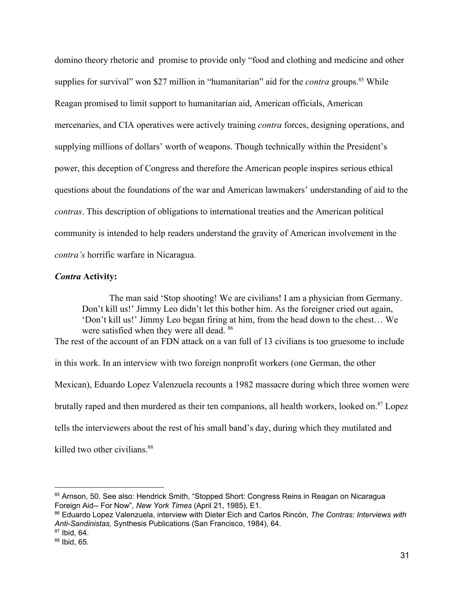domino theory rhetoric and promise to provide only "food and clothing and medicine and other supplies for survival" won \$27 million in "humanitarian" aid for the *contra* groups.<sup>85</sup> While Reagan promised to limit support to humanitarian aid, American officials, American mercenaries, and CIA operatives were actively training *contra* forces, designing operations, and supplying millions of dollars' worth of weapons. Though technically within the President's power, this deception of Congress and therefore the American people inspires serious ethical questions about the foundations of the war and American lawmakers' understanding of aid to the *contras*. This description of obligations to international treaties and the American political community is intended to help readers understand the gravity of American involvement in the *contra's* horrific warfare in Nicaragua.

# *Contra* **Activity:**

The man said 'Stop shooting! We are civilians! I am a physician from Germany. Don't kill us!' Jimmy Leo didn't let this bother him. As the foreigner cried out again, 'Don't kill us!' Jimmy Leo began firing at him, from the head down to the chest… We were satisfied when they were all dead. <sup>86</sup> The rest of the account of an FDN attack on a van full of 13 civilians is too gruesome to include in this work. In an interview with two foreign nonprofit workers (one German, the other Mexican), Eduardo Lopez Valenzuela recounts a 1982 massacre during which three women were

brutally raped and then murdered as their ten companions, all health workers, looked on. $87$  Lopez

tells the interviewers about the rest of his small band's day, during which they mutilated and

killed two other civilians.<sup>88</sup>

<sup>85</sup> Arnson, 50. See also: Hendrick Smith, "Stopped Short: Congress Reins in Reagan on Nicaragua Foreign Aid-- For Now", *New York Times* (April 21, 1985), E1.

<sup>86</sup> Eduardo Lopez Valenzuela, interview with Dieter Eich and Carlos Rincón, *The Contras: Interviews with Anti-Sandinistas,* Synthesis Publications (San Francisco, 1984), 64.

 $87$  Ibid, 64.

<sup>88</sup> Ibid, 65.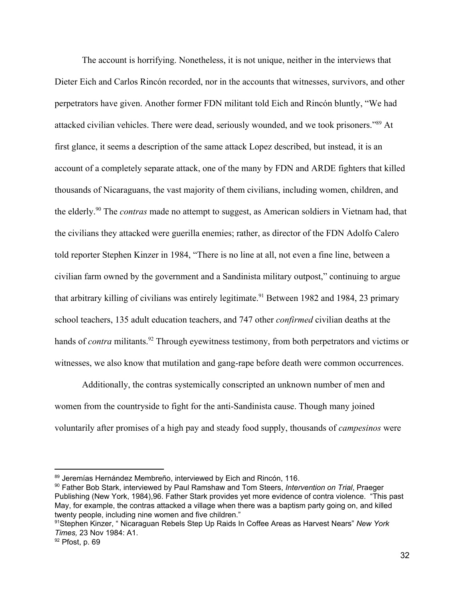The account is horrifying. Nonetheless, it is not unique, neither in the interviews that Dieter Eich and Carlos Rincón recorded, nor in the accounts that witnesses, survivors, and other perpetrators have given. Another former FDN militant told Eich and Rincón bluntly, "We had attacked civilian vehicles. There were dead, seriously wounded, and we took prisoners."<sup>89</sup> At first glance, it seems a description of the same attack Lopez described, but instead, it is an account of a completely separate attack, one of the many by FDN and ARDE fighters that killed thousands of Nicaraguans, the vast majority of them civilians, including women, children, and the elderly.<sup>90</sup> The *contras* made no attempt to suggest, as American soldiers in Vietnam had, that the civilians they attacked were guerilla enemies; rather, as director of the FDN Adolfo Calero told reporter Stephen Kinzer in 1984, "There is no line at all, not even a fine line, between a civilian farm owned by the government and a Sandinista military outpost," continuing to argue that arbitrary killing of civilians was entirely legitimate.<sup>91</sup> Between 1982 and 1984, 23 primary school teachers, 135 adult education teachers, and 747 other *confirmed* civilian deaths at the hands of *contra* militants.<sup>92</sup> Through eyewitness testimony, from both perpetrators and victims or witnesses, we also know that mutilation and gang-rape before death were common occurrences.

Additionally, the contras systemically conscripted an unknown number of men and women from the countryside to fight for the anti-Sandinista cause. Though many joined voluntarily after promises of a high pay and steady food supply, thousands of *campesinos* were

<sup>89</sup> Jeremías Hernández Membreño, interviewed by Eich and Rincón, 116.

<sup>90</sup> Father Bob Stark, interviewed by Paul Ramshaw and Tom Steers, *Intervention on Trial*, Praeger Publishing (New York, 1984),96. Father Stark provides yet more evidence of contra violence. "This past May, for example, the contras attacked a village when there was a baptism party going on, and killed twenty people, including nine women and five children."

<sup>91</sup>Stephen Kinzer, " Nicaraguan Rebels Step Up Raids In Coffee Areas as Harvest Nears" *New York Times,* 23 Nov 1984: A1.

<sup>92</sup> Pfost, p. 69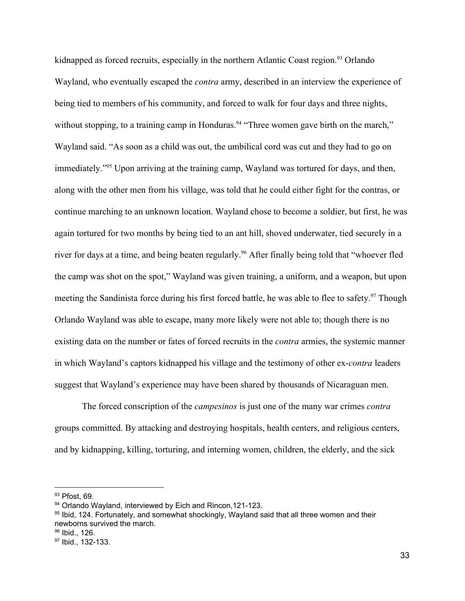kidnapped as forced recruits, especially in the northern Atlantic Coast region.<sup>93</sup> Orlando Wayland, who eventually escaped the *contra* army, described in an interview the experience of being tied to members of his community, and forced to walk for four days and three nights, without stopping, to a training camp in Honduras.<sup>94</sup> "Three women gave birth on the march," Wayland said. "As soon as a child was out, the umbilical cord was cut and they had to go on immediately."<sup>95</sup> Upon arriving at the training camp, Wayland was tortured for days, and then, along with the other men from his village, was told that he could either fight for the contras, or continue marching to an unknown location. Wayland chose to become a soldier, but first, he was again tortured for two months by being tied to an ant hill, shoved underwater, tied securely in a river for days at a time, and being beaten regularly.<sup>96</sup> After finally being told that "whoever fled the camp was shot on the spot," Wayland was given training, a uniform, and a weapon, but upon meeting the Sandinista force during his first forced battle, he was able to flee to safety.<sup>97</sup> Though Orlando Wayland was able to escape, many more likely were not able to; though there is no existing data on the number or fates of forced recruits in the *contra* armies, the systemic manner in which Wayland's captors kidnapped his village and the testimony of other ex-*contra* leaders suggest that Wayland's experience may have been shared by thousands of Nicaraguan men.

The forced conscription of the *campesinos* is just one of the many war crimes *contra* groups committed. By attacking and destroying hospitals, health centers, and religious centers, and by kidnapping, killing, torturing, and interning women, children, the elderly, and the sick

95 Ibid, 124. Fortunately, and somewhat shockingly, Wayland said that all three women and their newborns survived the march.

<sup>93</sup> Pfost, 69.

<sup>94</sup> Orlando Wayland, interviewed by Eich and Rincon, 121-123.

<sup>&</sup>lt;sup>96</sup> Ibid., 126.

<sup>97</sup> Ibid., 132-133.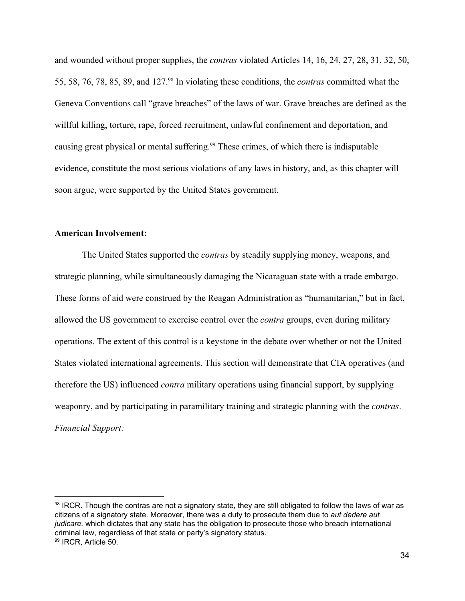and wounded without proper supplies, the *contras* violated Articles 14, 16, 24, 27, 28, 31, 32, 50, 55, 58, 76, 78, 85, 89, and 127.<sup>98</sup> In violating these conditions, the *contras* committed what the Geneva Conventions call "grave breaches" of the laws of war. Grave breaches are defined as the willful killing, torture, rape, forced recruitment, unlawful confinement and deportation, and causing great physical or mental suffering.<sup>99</sup> These crimes, of which there is indisputable evidence, constitute the most serious violations of any laws in history, and, as this chapter will soon argue, were supported by the United States government.

#### **American Involvement:**

The United States supported the *contras* by steadily supplying money, weapons, and strategic planning, while simultaneously damaging the Nicaraguan state with a trade embargo. These forms of aid were construed by the Reagan Administration as "humanitarian," but in fact, allowed the US government to exercise control over the *contra* groups, even during military operations. The extent of this control is a keystone in the debate over whether or not the United States violated international agreements. This section will demonstrate that CIA operatives (and therefore the US) influenced *contra* military operations using financial support, by supplying weaponry, and by participating in paramilitary training and strategic planning with the *contras*. *Financial Support:*

<sup>98</sup> IRCR. Though the contras are not a signatory state, they are still obligated to follow the laws of war as citizens of a signatory state. Moreover, there was a duty to prosecute them due to *aut dedere aut judicare,* which dictates that any state has the obligation to prosecute those who breach international criminal law, regardless of that state or party's signatory status. 99 IRCR, Article 50.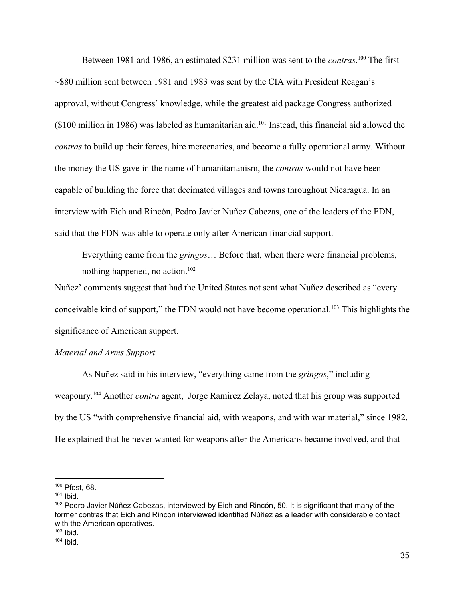Between 1981 and 1986, an estimated \$231 million was sent to the *contras*.<sup>100</sup> The first  $\sim$  \$80 million sent between 1981 and 1983 was sent by the CIA with President Reagan's approval, without Congress' knowledge, while the greatest aid package Congress authorized ( $$100$  million in 1986) was labeled as humanitarian aid.<sup>101</sup> Instead, this financial aid allowed the *contras* to build up their forces, hire mercenaries, and become a fully operational army. Without the money the US gave in the name of humanitarianism, the *contras* would not have been capable of building the force that decimated villages and towns throughout Nicaragua. In an interview with Eich and Rincón, Pedro Javier Nuñez Cabezas, one of the leaders of the FDN, said that the FDN was able to operate only after American financial support.

Everything came from the *gringos*… Before that, when there were financial problems, nothing happened, no action. $102$ 

Nuñez' comments suggest that had the United States not sent what Nuñez described as "every conceivable kind of support," the FDN would not have become operational.<sup>103</sup> This highlights the significance of American support.

#### *Material and Arms Support*

As Nuñez said in his interview, "everything came from the *gringos*," including weaponry.<sup>104</sup> Another *contra* agent, Jorge Ramirez Zelaya, noted that his group was supported by the US "with comprehensive financial aid, with weapons, and with war material," since 1982. He explained that he never wanted for weapons after the Americans became involved, and that

<sup>100</sup> Pfost, 68.

 $101$  Ibid.

<sup>&</sup>lt;sup>102</sup> Pedro Javier Núñez Cabezas, interviewed by Eich and Rincón, 50. It is significant that many of the former contras that Eich and Rincon interviewed identified Núñez as a leader with considerable contact with the American operatives.

 $103$  Ibid.

 $104$  Ibid.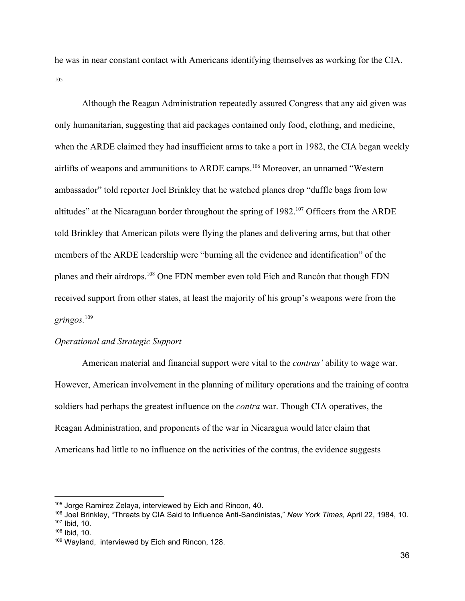he was in near constant contact with Americans identifying themselves as working for the CIA. 105

Although the Reagan Administration repeatedly assured Congress that any aid given was only humanitarian, suggesting that aid packages contained only food, clothing, and medicine, when the ARDE claimed they had insufficient arms to take a port in 1982, the CIA began weekly airlifts of weapons and ammunitions to ARDE camps.  $106$  Moreover, an unnamed "Western ambassador" told reporter Joel Brinkley that he watched planes drop "duffle bags from low altitudes" at the Nicaraguan border throughout the spring of  $1982$ .<sup>107</sup> Officers from the ARDE told Brinkley that American pilots were flying the planes and delivering arms, but that other members of the ARDE leadership were "burning all the evidence and identification" of the planes and their airdrops.<sup>108</sup> One FDN member even told Eich and Rancón that though FDN received support from other states, at least the majority of his group's weapons were from the *gringos.*<sup>109</sup>

## *Operational and Strategic Support*

American material and financial support were vital to the *contras'* ability to wage war. However, American involvement in the planning of military operations and the training of contra soldiers had perhaps the greatest influence on the *contra* war. Though CIA operatives, the Reagan Administration, and proponents of the war in Nicaragua would later claim that Americans had little to no influence on the activities of the contras, the evidence suggests

<sup>&</sup>lt;sup>105</sup> Jorge Ramirez Zelaya, interviewed by Eich and Rincon, 40.

<sup>106</sup> Joel Brinkley, "Threats by CIA Said to Influence Anti-Sandinistas," *New York Times,* April 22, 1984, 10. <sup>107</sup> Ibid, 10.

 $108$  Ibid, 10.

<sup>109</sup> Wayland, interviewed by Eich and Rincon, 128.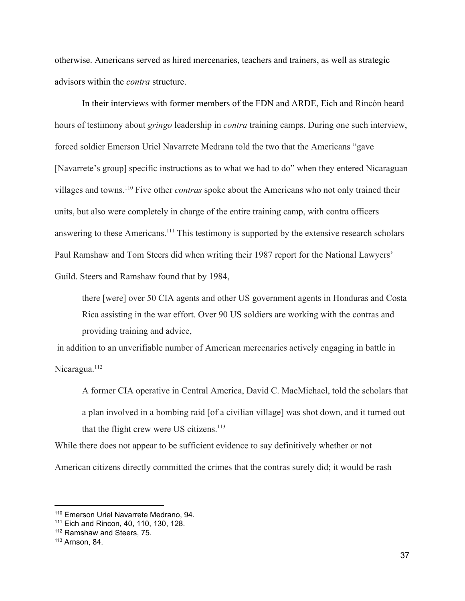otherwise. Americans served as hired mercenaries, teachers and trainers, as well as strategic advisors within the *contra* structure.

In their interviews with former members of the FDN and ARDE, Eich and Rincón heard hours of testimony about *gringo* leadership in *contra* training camps. During one such interview, forced soldier Emerson Uriel Navarrete Medrana told the two that the Americans "gave [Navarrete's group] specific instructions as to what we had to do" when they entered Nicaraguan villages and towns.<sup>110</sup> Five other *contras* spoke about the Americans who not only trained their units, but also were completely in charge of the entire training camp, with contra officers answering to these Americans.<sup>111</sup> This testimony is supported by the extensive research scholars Paul Ramshaw and Tom Steers did when writing their 1987 report for the National Lawyers' Guild. Steers and Ramshaw found that by 1984,

there [were] over 50 CIA agents and other US government agents in Honduras and Costa Rica assisting in the war effort. Over 90 US soldiers are working with the contras and providing training and advice,

 in addition to an unverifiable number of American mercenaries actively engaging in battle in Nicaragua.<sup>112</sup>

A former CIA operative in Central America, David C. MacMichael, told the scholars that a plan involved in a bombing raid [of a civilian village] was shot down, and it turned out that the flight crew were US citizens. $113$ 

While there does not appear to be sufficient evidence to say definitively whether or not American citizens directly committed the crimes that the contras surely did; it would be rash

<sup>110</sup> Emerson Uriel Navarrete Medrano, 94.

<sup>111</sup> Eich and Rincon, 40, 110, 130, 128.

<sup>112</sup> Ramshaw and Steers, 75.

<sup>113</sup> Arnson, 84.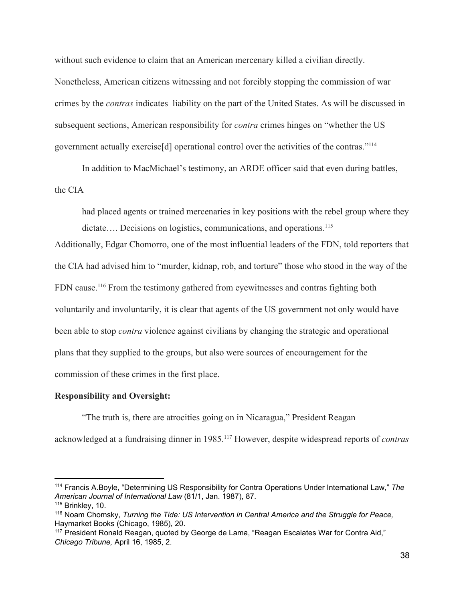without such evidence to claim that an American mercenary killed a civilian directly. Nonetheless, American citizens witnessing and not forcibly stopping the commission of war crimes by the *contras* indicates liability on the part of the United States. As will be discussed in subsequent sections, American responsibility for *contra* crimes hinges on "whether the US government actually exercise[d] operational control over the activities of the contras."114

In addition to MacMichael's testimony, an ARDE officer said that even during battles, the CIA

had placed agents or trained mercenaries in key positions with the rebel group where they dictate.... Decisions on logistics, communications, and operations.<sup>115</sup>

Additionally, Edgar Chomorro, one of the most influential leaders of the FDN, told reporters that the CIA had advised him to "murder, kidnap, rob, and torture" those who stood in the way of the FDN cause.<sup>116</sup> From the testimony gathered from eyewitnesses and contras fighting both voluntarily and involuntarily, it is clear that agents of the US government not only would have been able to stop *contra* violence against civilians by changing the strategic and operational plans that they supplied to the groups, but also were sources of encouragement for the commission of these crimes in the first place.

#### **Responsibility and Oversight:**

"The truth is, there are atrocities going on in Nicaragua," President Reagan acknowledged at a fundraising dinner in 1985.<sup>117</sup> However, despite widespread reports of *contras* 

<sup>114</sup> Francis A.Boyle, "Determining US Responsibility for Contra Operations Under International Law," *The American Journal of International Law* (81/1, Jan. 1987), 87.

 $115$  Brinkley, 10.

<sup>116</sup> Noam Chomsky, *Turning the Tide: US Intervention in Central America and the Struggle for Peace,* Haymarket Books (Chicago, 1985), 20.

<sup>117</sup> President Ronald Reagan, quoted by George de Lama, "Reagan Escalates War for Contra Aid," *Chicago Tribune,* April 16, 1985, 2.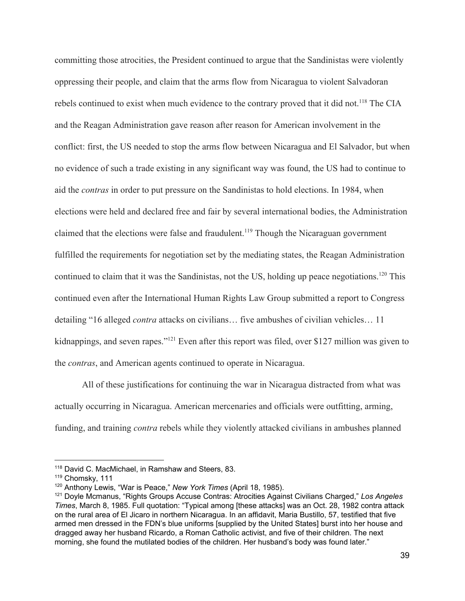committing those atrocities, the President continued to argue that the Sandinistas were violently oppressing their people, and claim that the arms flow from Nicaragua to violent Salvadoran rebels continued to exist when much evidence to the contrary proved that it did not.<sup>118</sup> The CIA and the Reagan Administration gave reason after reason for American involvement in the conflict: first, the US needed to stop the arms flow between Nicaragua and El Salvador, but when no evidence of such a trade existing in any significant way was found, the US had to continue to aid the *contras* in order to put pressure on the Sandinistas to hold elections. In 1984, when elections were held and declared free and fair by several international bodies, the Administration claimed that the elections were false and fraudulent.<sup>119</sup> Though the Nicaraguan government fulfilled the requirements for negotiation set by the mediating states, the Reagan Administration continued to claim that it was the Sandinistas, not the US, holding up peace negotiations.<sup>120</sup> This continued even after the International Human Rights Law Group submitted a report to Congress detailing "16 alleged *contra* attacks on civilians… five ambushes of civilian vehicles… 11 kidnappings, and seven rapes."<sup>121</sup> Even after this report was filed, over \$127 million was given to the *contras*, and American agents continued to operate in Nicaragua.

All of these justifications for continuing the war in Nicaragua distracted from what was actually occurring in Nicaragua. American mercenaries and officials were outfitting, arming, funding, and training *contra* rebels while they violently attacked civilians in ambushes planned

<sup>118</sup> David C. MacMichael, in Ramshaw and Steers, 83.

<sup>119</sup> Chomsky, 111

<sup>120</sup> Anthony Lewis, "War is Peace," *New York Times* (April 18, 1985).

<sup>121</sup> Doyle Mcmanus, "Rights Groups Accuse Contras: Atrocities Against Civilians Charged," *Los Angeles Times*, March 8, 1985. Full quotation: "Typical among [these attacks] was an Oct. 28, 1982 contra attack on the rural area of El Jicaro in northern Nicaragua. In an affidavit, Maria Bustillo, 57, testified that five armed men dressed in the FDN's blue uniforms [supplied by the United States] burst into her house and dragged away her husband Ricardo, a Roman Catholic activist, and five of their children. The next morning, she found the mutilated bodies of the children. Her husband's body was found later."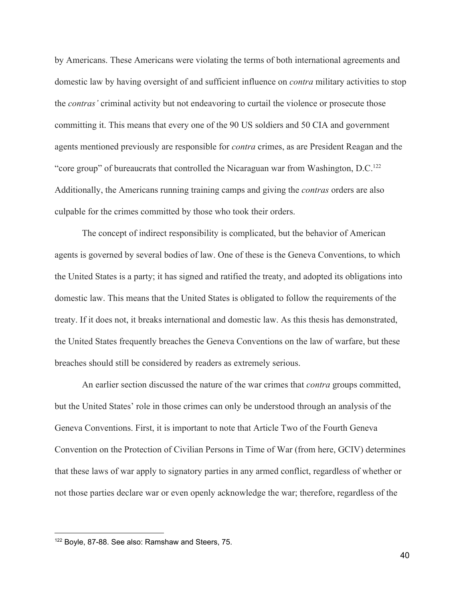by Americans. These Americans were violating the terms of both international agreements and domestic law by having oversight of and sufficient influence on *contra* military activities to stop the *contras'* criminal activity but not endeavoring to curtail the violence or prosecute those committing it. This means that every one of the 90 US soldiers and 50 CIA and government agents mentioned previously are responsible for *contra* crimes, as are President Reagan and the "core group" of bureaucrats that controlled the Nicaraguan war from Washington, D.C.<sup>122</sup> Additionally, the Americans running training camps and giving the *contras* orders are also culpable for the crimes committed by those who took their orders.

The concept of indirect responsibility is complicated, but the behavior of American agents is governed by several bodies of law. One of these is the Geneva Conventions, to which the United States is a party; it has signed and ratified the treaty, and adopted its obligations into domestic law. This means that the United States is obligated to follow the requirements of the treaty. If it does not, it breaks international and domestic law. As this thesis has demonstrated, the United States frequently breaches the Geneva Conventions on the law of warfare, but these breaches should still be considered by readers as extremely serious.

An earlier section discussed the nature of the war crimes that *contra* groups committed, but the United States' role in those crimes can only be understood through an analysis of the Geneva Conventions. First, it is important to note that Article Two of the Fourth Geneva Convention on the Protection of Civilian Persons in Time of War (from here, GCIV) determines that these laws of war apply to signatory parties in any armed conflict, regardless of whether or not those parties declare war or even openly acknowledge the war; therefore, regardless of the

<sup>122</sup> Boyle, 87-88. See also: Ramshaw and Steers, 75.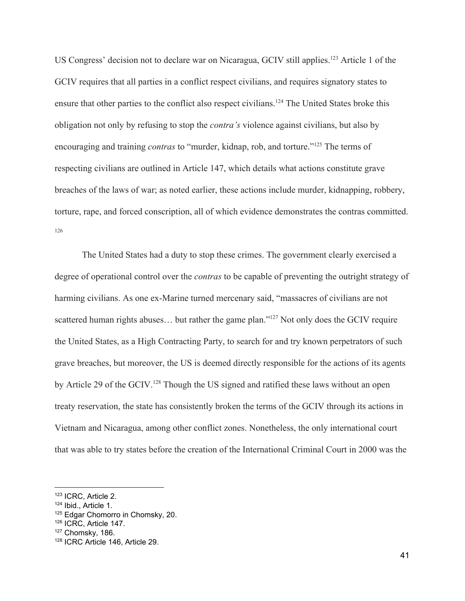US Congress' decision not to declare war on Nicaragua, GCIV still applies.<sup>123</sup> Article 1 of the GCIV requires that all parties in a conflict respect civilians, and requires signatory states to ensure that other parties to the conflict also respect civilians.<sup>124</sup> The United States broke this obligation not only by refusing to stop the *contra's* violence against civilians, but also by encouraging and training *contras* to "murder, kidnap, rob, and torture."<sup>125</sup> The terms of respecting civilians are outlined in Article 147, which details what actions constitute grave breaches of the laws of war; as noted earlier, these actions include murder, kidnapping, robbery, torture, rape, and forced conscription, all of which evidence demonstrates the contras committed. 126

The United States had a duty to stop these crimes. The government clearly exercised a degree of operational control over the *contras* to be capable of preventing the outright strategy of harming civilians. As one ex-Marine turned mercenary said, "massacres of civilians are not scattered human rights abuses... but rather the game plan." $^{127}$  Not only does the GCIV require the United States, as a High Contracting Party, to search for and try known perpetrators of such grave breaches, but moreover, the US is deemed directly responsible for the actions of its agents by Article 29 of the GCIV.<sup>128</sup> Though the US signed and ratified these laws without an open treaty reservation, the state has consistently broken the terms of the GCIV through its actions in Vietnam and Nicaragua, among other conflict zones. Nonetheless, the only international court that was able to try states before the creation of the International Criminal Court in 2000 was the

<sup>123</sup> ICRC, Article 2.

<sup>124</sup> Ibid., Article 1.

<sup>125</sup> Edgar Chomorro in Chomsky, 20.

<sup>126</sup> ICRC, Article 147.

<sup>&</sup>lt;sup>127</sup> Chomsky, 186.

<sup>128</sup> ICRC Article 146, Article 29.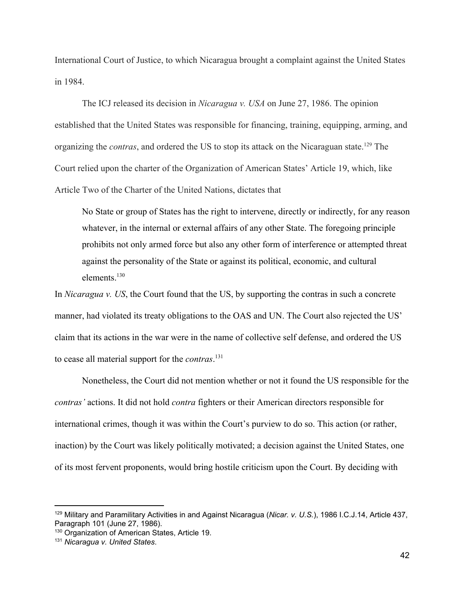International Court of Justice, to which Nicaragua brought a complaint against the United States in 1984.

The ICJ released its decision in *Nicaragua v. USA* on June 27, 1986. The opinion established that the United States was responsible for financing, training, equipping, arming, and organizing the *contras*, and ordered the US to stop its attack on the Nicaraguan state.<sup>129</sup> The Court relied upon the charter of the Organization of American States' Article 19, which, like Article Two of the Charter of the United Nations, dictates that

No State or group of States has the right to intervene, directly or indirectly, for any reason whatever, in the internal or external affairs of any other State. The foregoing principle prohibits not only armed force but also any other form of interference or attempted threat against the personality of the State or against its political, economic, and cultural elements<sup>130</sup>

In *Nicaragua v. US*, the Court found that the US, by supporting the contras in such a concrete manner, had violated its treaty obligations to the OAS and UN. The Court also rejected the US' claim that its actions in the war were in the name of collective self defense, and ordered the US to cease all material support for the *contras*. 131

Nonetheless, the Court did not mention whether or not it found the US responsible for the *contras'* actions. It did not hold *contra* fighters or their American directors responsible for international crimes, though it was within the Court's purview to do so. This action (or rather, inaction) by the Court was likely politically motivated; a decision against the United States, one of its most fervent proponents, would bring hostile criticism upon the Court. By deciding with

<sup>129</sup> Military and Paramilitary Activities in and Against Nicaragua (*Nicar. v. U.S.*), 1986 I.C.J.14, Article 437, Paragraph 101 (June 27, 1986).

<sup>&</sup>lt;sup>130</sup> Organization of American States, Article 19.

<sup>131</sup> *Nicaragua v. United States*.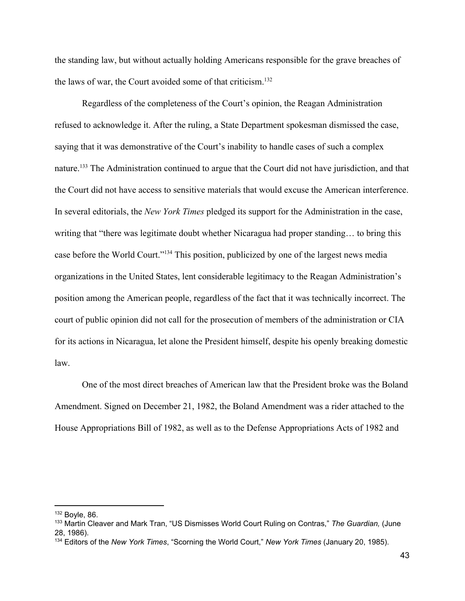the standing law, but without actually holding Americans responsible for the grave breaches of the laws of war, the Court avoided some of that criticism.<sup>132</sup>

Regardless of the completeness of the Court's opinion, the Reagan Administration refused to acknowledge it. After the ruling, a State Department spokesman dismissed the case, saying that it was demonstrative of the Court's inability to handle cases of such a complex nature.<sup>133</sup> The Administration continued to argue that the Court did not have jurisdiction, and that the Court did not have access to sensitive materials that would excuse the American interference. In several editorials, the *New York Times* pledged its support for the Administration in the case, writing that "there was legitimate doubt whether Nicaragua had proper standing… to bring this case before the World Court."<sup>134</sup> This position, publicized by one of the largest news media organizations in the United States, lent considerable legitimacy to the Reagan Administration's position among the American people, regardless of the fact that it was technically incorrect. The court of public opinion did not call for the prosecution of members of the administration or CIA for its actions in Nicaragua, let alone the President himself, despite his openly breaking domestic law.

One of the most direct breaches of American law that the President broke was the Boland Amendment. Signed on December 21, 1982, the Boland Amendment was a rider attached to the House Appropriations Bill of 1982, as well as to the Defense Appropriations Acts of 1982 and

 $132$  Boyle, 86.

<sup>133</sup> Martin Cleaver and Mark Tran, "US Dismisses World Court Ruling on Contras," *The Guardian,* (June 28, 1986).

<sup>134</sup> Editors of the *New York Times*, "Scorning the World Court," *New York Times* (January 20, 1985).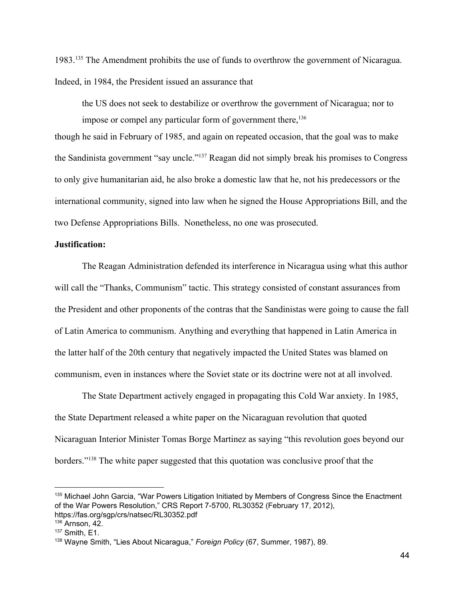1983.<sup>135</sup> The Amendment prohibits the use of funds to overthrow the government of Nicaragua. Indeed, in 1984, the President issued an assurance that

the US does not seek to destabilize or overthrow the government of Nicaragua; nor to impose or compel any particular form of government there,  $136$ 

though he said in February of 1985, and again on repeated occasion, that the goal was to make the Sandinista government "say uncle."<sup>137</sup> Reagan did not simply break his promises to Congress to only give humanitarian aid, he also broke a domestic law that he, not his predecessors or the international community, signed into law when he signed the House Appropriations Bill, and the two Defense Appropriations Bills. Nonetheless, no one was prosecuted.

#### **Justification:**

The Reagan Administration defended its interference in Nicaragua using what this author will call the "Thanks, Communism" tactic. This strategy consisted of constant assurances from the President and other proponents of the contras that the Sandinistas were going to cause the fall of Latin America to communism. Anything and everything that happened in Latin America in the latter half of the 20th century that negatively impacted the United States was blamed on communism, even in instances where the Soviet state or its doctrine were not at all involved.

The State Department actively engaged in propagating this Cold War anxiety. In 1985, the State Department released a white paper on the Nicaraguan revolution that quoted Nicaraguan Interior Minister Tomas Borge Martinez as saying "this revolution goes beyond our borders."<sup>138</sup> The white paper suggested that this quotation was conclusive proof that the

<sup>&</sup>lt;sup>135</sup> Michael John Garcia, "War Powers Litigation Initiated by Members of Congress Since the Enactment of the War Powers Resolution," CRS Report 7-5700, RL30352 (February 17, 2012), https://fas.org/sgp/crs/natsec/RL30352.pdf

<sup>136</sup> Arnson, 42.

<sup>137</sup> Smith, E1.

<sup>138</sup> Wayne Smith, "Lies About Nicaragua," *Foreign Policy* (67, Summer, 1987), 89.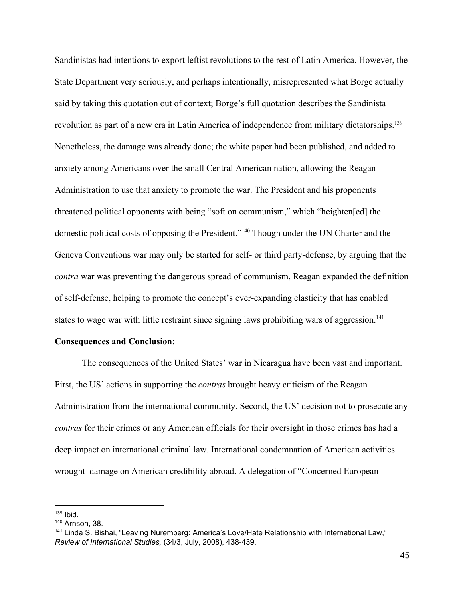Sandinistas had intentions to export leftist revolutions to the rest of Latin America. However, the State Department very seriously, and perhaps intentionally, misrepresented what Borge actually said by taking this quotation out of context; Borge's full quotation describes the Sandinista revolution as part of a new era in Latin America of independence from military dictatorships.<sup>139</sup> Nonetheless, the damage was already done; the white paper had been published, and added to anxiety among Americans over the small Central American nation, allowing the Reagan Administration to use that anxiety to promote the war. The President and his proponents threatened political opponents with being "soft on communism," which "heighten[ed] the domestic political costs of opposing the President."<sup>140</sup> Though under the UN Charter and the Geneva Conventions war may only be started for self- or third party-defense, by arguing that the *contra* war was preventing the dangerous spread of communism, Reagan expanded the definition of self-defense, helping to promote the concept's ever-expanding elasticity that has enabled states to wage war with little restraint since signing laws prohibiting wars of aggression.<sup>141</sup>

#### **Consequences and Conclusion:**

The consequences of the United States' war in Nicaragua have been vast and important. First, the US' actions in supporting the *contras* brought heavy criticism of the Reagan Administration from the international community. Second, the US' decision not to prosecute any *contras* for their crimes or any American officials for their oversight in those crimes has had a deep impact on international criminal law. International condemnation of American activities wrought damage on American credibility abroad. A delegation of "Concerned European

 $139$  Ibid.

<sup>140</sup> Arnson, 38.

<sup>141</sup> Linda S. Bishai, "Leaving Nuremberg: America's Love/Hate Relationship with International Law," *Review of International Studies,* (34/3, July, 2008), 438-439.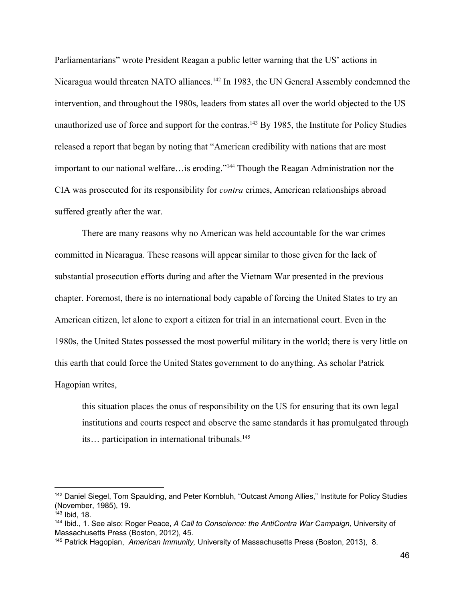Parliamentarians" wrote President Reagan a public letter warning that the US' actions in Nicaragua would threaten NATO alliances.<sup>142</sup> In 1983, the UN General Assembly condemned the intervention, and throughout the 1980s, leaders from states all over the world objected to the US unauthorized use of force and support for the contras.<sup>143</sup> By 1985, the Institute for Policy Studies released a report that began by noting that "American credibility with nations that are most important to our national welfare…is eroding."<sup>144</sup> Though the Reagan Administration nor the CIA was prosecuted for its responsibility for *contra* crimes, American relationships abroad suffered greatly after the war.

There are many reasons why no American was held accountable for the war crimes committed in Nicaragua. These reasons will appear similar to those given for the lack of substantial prosecution efforts during and after the Vietnam War presented in the previous chapter. Foremost, there is no international body capable of forcing the United States to try an American citizen, let alone to export a citizen for trial in an international court. Even in the 1980s, the United States possessed the most powerful military in the world; there is very little on this earth that could force the United States government to do anything. As scholar Patrick Hagopian writes,

this situation places the onus of responsibility on the US for ensuring that its own legal institutions and courts respect and observe the same standards it has promulgated through its... participation in international tribunals.<sup>145</sup>

<sup>&</sup>lt;sup>142</sup> Daniel Siegel, Tom Spaulding, and Peter Kornbluh, "Outcast Among Allies," Institute for Policy Studies (November, 1985), 19.

 $143$  Ibid, 18.

<sup>144</sup> Ibid., 1. See also: Roger Peace, *A Call to Conscience: the AntiContra War Campaign,* University of Massachusetts Press (Boston, 2012), 45.

<sup>145</sup> Patrick Hagopian, *American Immunity,* University of Massachusetts Press (Boston, 2013), 8.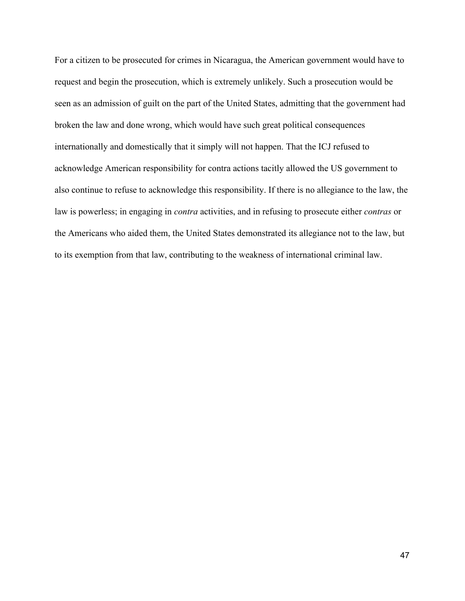For a citizen to be prosecuted for crimes in Nicaragua, the American government would have to request and begin the prosecution, which is extremely unlikely. Such a prosecution would be seen as an admission of guilt on the part of the United States, admitting that the government had broken the law and done wrong, which would have such great political consequences internationally and domestically that it simply will not happen. That the ICJ refused to acknowledge American responsibility for contra actions tacitly allowed the US government to also continue to refuse to acknowledge this responsibility. If there is no allegiance to the law, the law is powerless; in engaging in *contra* activities, and in refusing to prosecute either *contras* or the Americans who aided them, the United States demonstrated its allegiance not to the law, but to its exemption from that law, contributing to the weakness of international criminal law.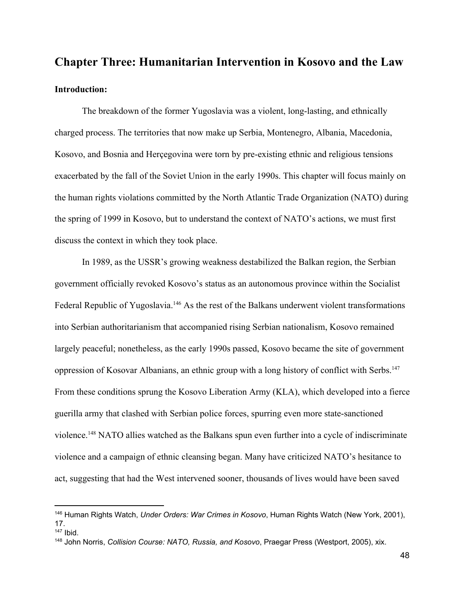# **Chapter Three: Humanitarian Intervention in Kosovo and the Law Introduction:**

The breakdown of the former Yugoslavia was a violent, long-lasting, and ethnically charged process. The territories that now make up Serbia, Montenegro, Albania, Macedonia, Kosovo, and Bosnia and Herçegovina were torn by pre-existing ethnic and religious tensions exacerbated by the fall of the Soviet Union in the early 1990s. This chapter will focus mainly on the human rights violations committed by the North Atlantic Trade Organization (NATO) during the spring of 1999 in Kosovo, but to understand the context of NATO's actions, we must first discuss the context in which they took place.

In 1989, as the USSR's growing weakness destabilized the Balkan region, the Serbian government officially revoked Kosovo's status as an autonomous province within the Socialist Federal Republic of Yugoslavia.<sup>146</sup> As the rest of the Balkans underwent violent transformations into Serbian authoritarianism that accompanied rising Serbian nationalism, Kosovo remained largely peaceful; nonetheless, as the early 1990s passed, Kosovo became the site of government oppression of Kosovar Albanians, an ethnic group with a long history of conflict with Serbs.<sup>147</sup> From these conditions sprung the Kosovo Liberation Army (KLA), which developed into a fierce guerilla army that clashed with Serbian police forces, spurring even more state-sanctioned violence.<sup>148</sup> NATO allies watched as the Balkans spun even further into a cycle of indiscriminate violence and a campaign of ethnic cleansing began. Many have criticized NATO's hesitance to act, suggesting that had the West intervened sooner, thousands of lives would have been saved

<sup>146</sup> Human Rights Watch, *Under Orders: War Crimes in Kosovo*, Human Rights Watch (New York, 2001), 17.

<sup>147</sup> Ibid.

<sup>148</sup> John Norris, *Collision Course: NATO, Russia, and Kosovo*, Praegar Press (Westport, 2005), xix.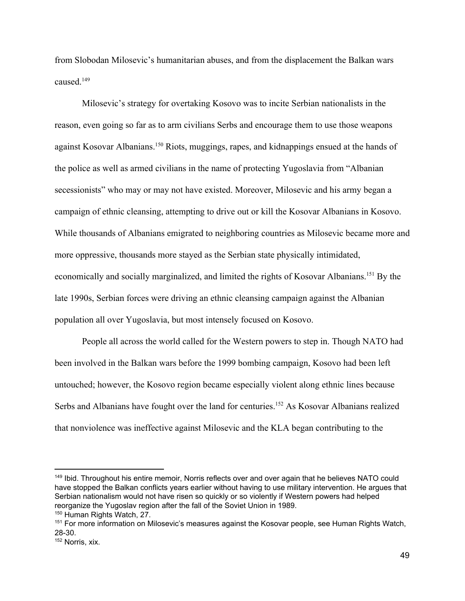from Slobodan Milosevic's humanitarian abuses, and from the displacement the Balkan wars caused<sup>149</sup>

Milosevic's strategy for overtaking Kosovo was to incite Serbian nationalists in the reason, even going so far as to arm civilians Serbs and encourage them to use those weapons against Kosovar Albanians.<sup>150</sup> Riots, muggings, rapes, and kidnappings ensued at the hands of the police as well as armed civilians in the name of protecting Yugoslavia from "Albanian secessionists" who may or may not have existed. Moreover, Milosevic and his army began a campaign of ethnic cleansing, attempting to drive out or kill the Kosovar Albanians in Kosovo. While thousands of Albanians emigrated to neighboring countries as Milosevic became more and more oppressive, thousands more stayed as the Serbian state physically intimidated, economically and socially marginalized, and limited the rights of Kosovar Albanians.<sup>151</sup> By the late 1990s, Serbian forces were driving an ethnic cleansing campaign against the Albanian population all over Yugoslavia, but most intensely focused on Kosovo.

People all across the world called for the Western powers to step in. Though NATO had been involved in the Balkan wars before the 1999 bombing campaign, Kosovo had been left untouched; however, the Kosovo region became especially violent along ethnic lines because Serbs and Albanians have fought over the land for centuries.<sup>152</sup> As Kosovar Albanians realized that nonviolence was ineffective against Milosevic and the KLA began contributing to the

<sup>&</sup>lt;sup>149</sup> Ibid. Throughout his entire memoir, Norris reflects over and over again that he believes NATO could have stopped the Balkan conflicts years earlier without having to use military intervention. He argues that Serbian nationalism would not have risen so quickly or so violently if Western powers had helped reorganize the Yugoslav region after the fall of the Soviet Union in 1989.

<sup>&</sup>lt;sup>150</sup> Human Rights Watch, 27.

<sup>151</sup> For more information on Milosevic's measures against the Kosovar people, see Human Rights Watch, 28-30.

<sup>152</sup> Norris, xix.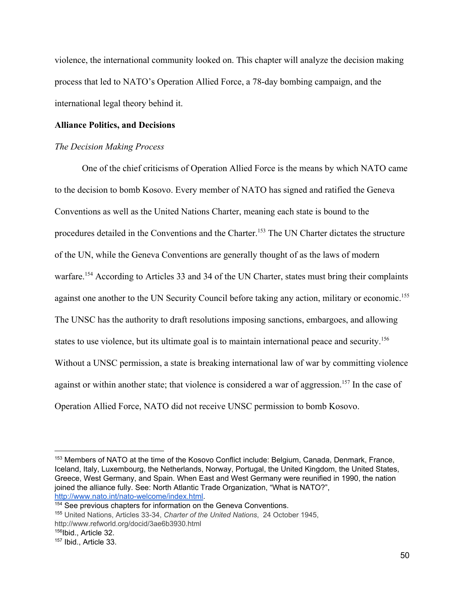violence, the international community looked on. This chapter will analyze the decision making process that led to NATO's Operation Allied Force, a 78-day bombing campaign, and the international legal theory behind it.

# **Alliance Politics, and Decisions**

#### *The Decision Making Process*

One of the chief criticisms of Operation Allied Force is the means by which NATO came to the decision to bomb Kosovo. Every member of NATO has signed and ratified the Geneva Conventions as well as the United Nations Charter, meaning each state is bound to the procedures detailed in the Conventions and the Charter.<sup>153</sup> The UN Charter dictates the structure of the UN, while the Geneva Conventions are generally thought of as the laws of modern warfare.<sup>154</sup> According to Articles 33 and 34 of the UN Charter, states must bring their complaints against one another to the UN Security Council before taking any action, military or economic.<sup>155</sup> The UNSC has the authority to draft resolutions imposing sanctions, embargoes, and allowing states to use violence, but its ultimate goal is to maintain international peace and security.<sup>156</sup> Without a UNSC permission, a state is breaking international law of war by committing violence against or within another state; that violence is considered a war of aggression.<sup>157</sup> In the case of Operation Allied Force, NATO did not receive UNSC permission to bomb Kosovo.

<sup>153</sup> Members of NATO at the time of the Kosovo Conflict include: Belgium, Canada, Denmark, France, Iceland, [Italy](https://en.wikipedia.org/wiki/Italy), [Luxembourg,](https://en.wikipedia.org/wiki/Luxembourg) the [Netherlands,](https://en.wikipedia.org/wiki/The_Netherlands) [Norway,](https://en.wikipedia.org/wiki/Norway) [Portugal,](https://en.wikipedia.org/wiki/Portugal) the United [Kingdom,](https://en.wikipedia.org/wiki/The_United_Kingdom) the United [States,](https://en.wikipedia.org/wiki/The_United_States) Greece, West [Germany,](https://en.wikipedia.org/wiki/West_Germany) and [Spain.](https://en.wikipedia.org/wiki/Spain) When East and West Germany were reunified in 1990, the nation joined the alliance fully. See: North Atlantic Trade Organization, "What is NATO?", [http://www.nato.int/nato-welcome/index.html.](http://www.nato.int/nato-welcome/index.html)

<sup>&</sup>lt;sup>154</sup> See previous chapters for information on the Geneva Conventions.

<sup>155</sup> United Nations, Articles 33-34, *Charter of the United Nations*, 24 October 1945,

http://www.refworld.org/docid/3ae6b3930.html

<sup>&</sup>lt;sup>156</sup>Ibid., Article 32.

<sup>157</sup> Ibid., Article 33.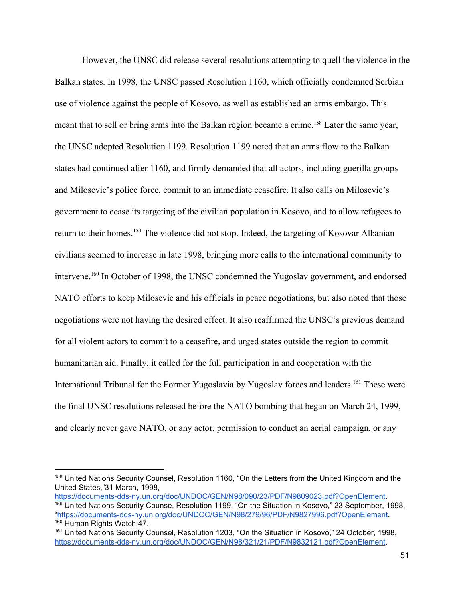However, the UNSC did release several resolutions attempting to quell the violence in the Balkan states. In 1998, the UNSC passed Resolution 1160, which officially condemned Serbian use of violence against the people of Kosovo, as well as established an arms embargo. This meant that to sell or bring arms into the Balkan region became a crime.<sup>158</sup> Later the same year, the UNSC adopted Resolution 1199. Resolution 1199 noted that an arms flow to the Balkan states had continued after 1160, and firmly demanded that all actors, including guerilla groups and Milosevic's police force, commit to an immediate ceasefire. It also calls on Milosevic's government to cease its targeting of the civilian population in Kosovo, and to allow refugees to return to their homes.<sup>159</sup> The violence did not stop. Indeed, the targeting of Kosovar Albanian civilians seemed to increase in late 1998, bringing more calls to the international community to intervene.<sup>160</sup> In October of 1998, the UNSC condemned the Yugoslav government, and endorsed NATO efforts to keep Milosevic and his officials in peace negotiations, but also noted that those negotiations were not having the desired effect. It also reaffirmed the UNSC's previous demand for all violent actors to commit to a ceasefire, and urged states outside the region to commit humanitarian aid. Finally, it called for the full participation in and cooperation with the International Tribunal for the Former Yugoslavia by Yugoslav forces and leaders.<sup>161</sup> These were the final UNSC resolutions released before the NATO bombing that began on March 24, 1999, and clearly never gave NATO, or any actor, permission to conduct an aerial campaign, or any

<sup>158</sup> United Nations Security Counsel, Resolution 1160, "On the Letters from the United Kingdom and the United States,"31 March, 1998,

[https://documents-dds-ny.un.org/doc/UNDOC/GEN/N98/090/23/PDF/N9809023.pdf?OpenElement.](https://documents-dds-ny.un.org/doc/UNDOC/GEN/N98/090/23/PDF/N9809023.pdf?OpenElement) <sup>159</sup> United Nations Security Counse, Resolution 1199, "On the Situation in Kosovo," 23 September, 1998, ["https://documents-dds-ny.un.org/doc/UNDOC/GEN/N98/279/96/PDF/N9827996.pdf?OpenElement.](https://documents-dds-ny.un.org/doc/UNDOC/GEN/N98/279/96/PDF/N9827996.pdf?OpenElement) <sup>160</sup> Human Rights Watch, 47.

<sup>161</sup> United Nations Security Counsel, Resolution 1203, "On the Situation in Kosovo," 24 October, 1998, [https://documents-dds-ny.un.org/doc/UNDOC/GEN/N98/321/21/PDF/N9832121.pdf?OpenElement.](https://documents-dds-ny.un.org/doc/UNDOC/GEN/N98/321/21/PDF/N9832121.pdf?OpenElement)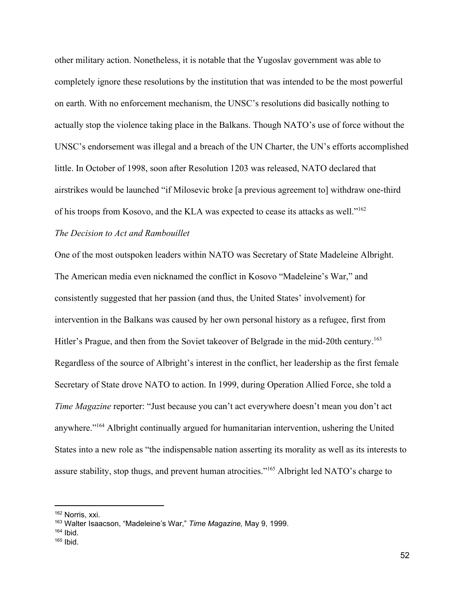other military action. Nonetheless, it is notable that the Yugoslav government was able to completely ignore these resolutions by the institution that was intended to be the most powerful on earth. With no enforcement mechanism, the UNSC's resolutions did basically nothing to actually stop the violence taking place in the Balkans. Though NATO's use of force without the UNSC's endorsement was illegal and a breach of the UN Charter, the UN's efforts accomplished little. In October of 1998, soon after Resolution 1203 was released, NATO declared that airstrikes would be launched "if Milosevic broke [a previous agreement to] withdraw one-third of his troops from Kosovo, and the KLA was expected to cease its attacks as well."162

# *The Decision to Act and Rambouillet*

One of the most outspoken leaders within NATO was Secretary of State Madeleine Albright. The American media even nicknamed the conflict in Kosovo "Madeleine's War," and consistently suggested that her passion (and thus, the United States' involvement) for intervention in the Balkans was caused by her own personal history as a refugee, first from Hitler's Prague, and then from the Soviet takeover of Belgrade in the mid-20th century.<sup>163</sup> Regardless of the source of Albright's interest in the conflict, her leadership as the first female Secretary of State drove NATO to action. In 1999, during Operation Allied Force, she told a *Time Magazine* reporter: "Just because you can't act everywhere doesn't mean you don't act anywhere."<sup>164</sup> Albright continually argued for humanitarian intervention, ushering the United States into a new role as "the indispensable nation asserting its morality as well as its interests to assure stability, stop thugs, and prevent human atrocities."<sup>165</sup> Albright led NATO's charge to

<sup>162</sup> Norris, xxi.

<sup>163</sup> Walter Isaacson, "Madeleine's War," *Time Magazine,* May 9, 1999.

 $164$  Ibid.

 $165$  Ibid.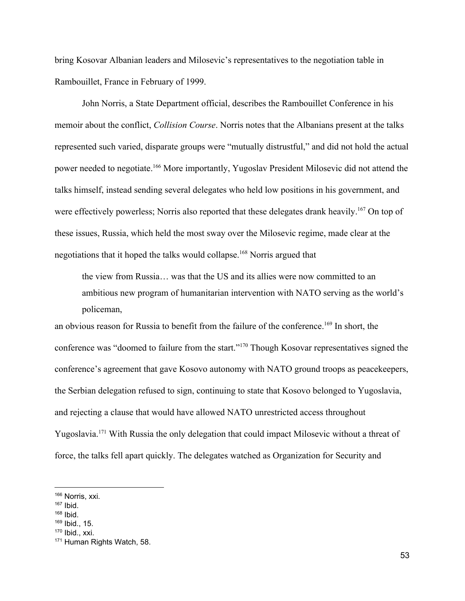bring Kosovar Albanian leaders and Milosevic's representatives to the negotiation table in Rambouillet, France in February of 1999.

John Norris, a State Department official, describes the Rambouillet Conference in his memoir about the conflict, *Collision Course*. Norris notes that the Albanians present at the talks represented such varied, disparate groups were "mutually distrustful," and did not hold the actual power needed to negotiate.<sup>166</sup> More importantly, Yugoslav President Milosevic did not attend the talks himself, instead sending several delegates who held low positions in his government, and were effectively powerless; Norris also reported that these delegates drank heavily.<sup>167</sup> On top of these issues, Russia, which held the most sway over the Milosevic regime, made clear at the negotiations that it hoped the talks would collapse.<sup>168</sup> Norris argued that

the view from Russia… was that the US and its allies were now committed to an ambitious new program of humanitarian intervention with NATO serving as the world's policeman,

an obvious reason for Russia to benefit from the failure of the conference.<sup>169</sup> In short, the conference was "doomed to failure from the start."<sup>170</sup> Though Kosovar representatives signed the conference's agreement that gave Kosovo autonomy with NATO ground troops as peacekeepers, the Serbian delegation refused to sign, continuing to state that Kosovo belonged to Yugoslavia, and rejecting a clause that would have allowed NATO unrestricted access throughout Yugoslavia.<sup>171</sup> With Russia the only delegation that could impact Milosevic without a threat of force, the talks fell apart quickly. The delegates watched as Organization for Security and

- $168$  Ibid.
- <sup>169</sup> Ibid., 15.

<sup>166</sup> Norris, xxi.

 $167$  Ibid.

 $170$  Ibid., xxi.

<sup>171</sup> Human Rights Watch, 58.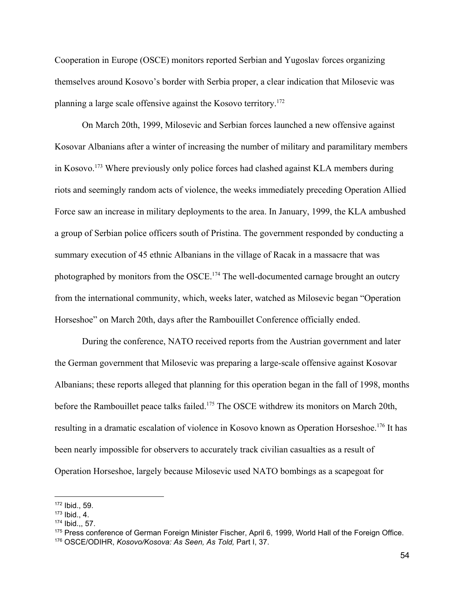Cooperation in Europe (OSCE) monitors reported Serbian and Yugoslav forces organizing themselves around Kosovo's border with Serbia proper, a clear indication that Milosevic was planning a large scale offensive against the Kosovo territory.172

On March 20th, 1999, Milosevic and Serbian forces launched a new offensive against Kosovar Albanians after a winter of increasing the number of military and paramilitary members in Kosovo.<sup>173</sup> Where previously only police forces had clashed against KLA members during riots and seemingly random acts of violence, the weeks immediately preceding Operation Allied Force saw an increase in military deployments to the area. In January, 1999, the KLA ambushed a group of Serbian police officers south of Pristina. The government responded by conducting a summary execution of 45 ethnic Albanians in the village of Racak in a massacre that was photographed by monitors from the OSCE.<sup>174</sup> The well-documented carnage brought an outcry from the international community, which, weeks later, watched as Milosevic began "Operation Horseshoe" on March 20th, days after the Rambouillet Conference officially ended.

During the conference, NATO received reports from the Austrian government and later the German government that Milosevic was preparing a large-scale offensive against Kosovar Albanians; these reports alleged that planning for this operation began in the fall of 1998, months before the Rambouillet peace talks failed.<sup>175</sup> The OSCE withdrew its monitors on March 20th, resulting in a dramatic escalation of violence in Kosovo known as Operation Horseshoe.<sup>176</sup> It has been nearly impossible for observers to accurately track civilian casualties as a result of Operation Horseshoe, largely because Milosevic used NATO bombings as a scapegoat for

<sup>172</sup> Ibid., 59.

 $173$  Ibid., 4.

<sup>174</sup> Ibid.,, 57.

<sup>175</sup> Press conference of German Foreign Minister Fischer, April 6, 1999, World Hall of the Foreign Office.

<sup>176</sup> OSCE/ODIHR, *Kosovo/Kosova: As Seen, As Told,* Part I, 37.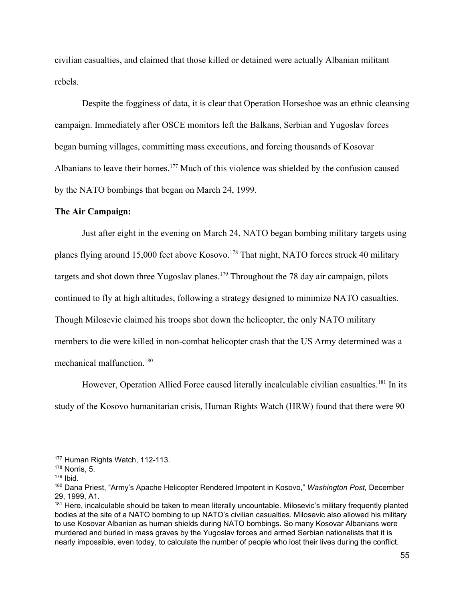civilian casualties, and claimed that those killed or detained were actually Albanian militant rebels.

Despite the fogginess of data, it is clear that Operation Horseshoe was an ethnic cleansing campaign. Immediately after OSCE monitors left the Balkans, Serbian and Yugoslav forces began burning villages, committing mass executions, and forcing thousands of Kosovar Albanians to leave their homes.<sup>177</sup> Much of this violence was shielded by the confusion caused by the NATO bombings that began on March 24, 1999.

#### **The Air Campaign:**

Just after eight in the evening on March 24, NATO began bombing military targets using planes flying around 15,000 feet above Kosovo.<sup>178</sup> That night, NATO forces struck 40 military targets and shot down three Yugoslav planes.<sup>179</sup> Throughout the 78 day air campaign, pilots continued to fly at high altitudes, following a strategy designed to minimize NATO casualties. Though Milosevic claimed his troops shot down the helicopter, the only NATO military members to die were killed in non-combat helicopter crash that the US Army determined was a mechanical malfunction.180

However, Operation Allied Force caused literally incalculable civilian casualties.<sup>181</sup> In its study of the Kosovo humanitarian crisis, Human Rights Watch (HRW) found that there were 90

<sup>177</sup> Human Rights Watch, 112-113.

 $178$  Norris, 5.

 $179$  Ibid.

<sup>180</sup> Dana Priest, "Army's Apache Helicopter Rendered Impotent in Kosovo," *Washington Post,* December 29, 1999, A1.

<sup>&</sup>lt;sup>181</sup> Here, incalculable should be taken to mean literally uncountable. Milosevic's military frequently planted bodies at the site of a NATO bombing to up NATO's civilian casualties. Milosevic also allowed his military to use Kosovar Albanian as human shields during NATO bombings. So many Kosovar Albanians were murdered and buried in mass graves by the Yugoslav forces and armed Serbian nationalists that it is nearly impossible, even today, to calculate the number of people who lost their lives during the conflict.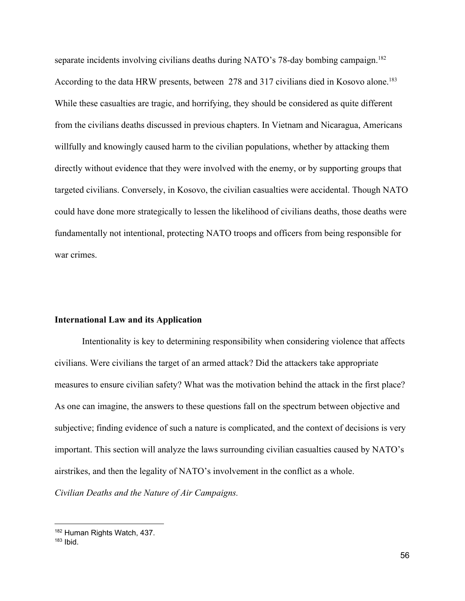separate incidents involving civilians deaths during NATO's 78-day bombing campaign.<sup>182</sup> According to the data HRW presents, between 278 and 317 civilians died in Kosovo alone.<sup>183</sup> While these casualties are tragic, and horrifying, they should be considered as quite different from the civilians deaths discussed in previous chapters. In Vietnam and Nicaragua, Americans willfully and knowingly caused harm to the civilian populations, whether by attacking them directly without evidence that they were involved with the enemy, or by supporting groups that targeted civilians. Conversely, in Kosovo, the civilian casualties were accidental. Though NATO could have done more strategically to lessen the likelihood of civilians deaths, those deaths were fundamentally not intentional, protecting NATO troops and officers from being responsible for war crimes.

#### **International Law and its Application**

Intentionality is key to determining responsibility when considering violence that affects civilians. Were civilians the target of an armed attack? Did the attackers take appropriate measures to ensure civilian safety? What was the motivation behind the attack in the first place? As one can imagine, the answers to these questions fall on the spectrum between objective and subjective; finding evidence of such a nature is complicated, and the context of decisions is very important. This section will analyze the laws surrounding civilian casualties caused by NATO's airstrikes, and then the legality of NATO's involvement in the conflict as a whole.

*Civilian Deaths and the Nature of Air Campaigns.*

<sup>182</sup> Human Rights Watch, 437.

 $183$  Ibid.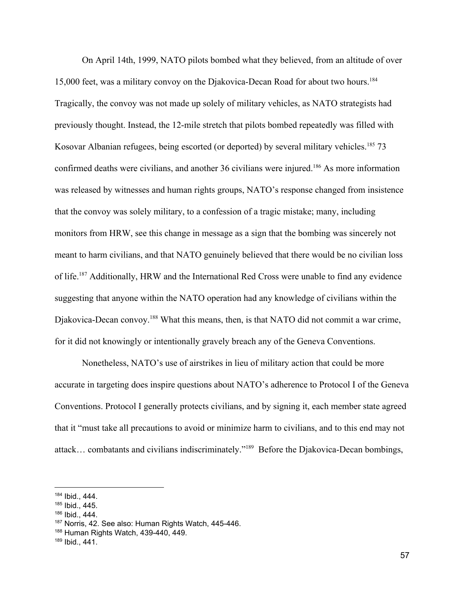On April 14th, 1999, NATO pilots bombed what they believed, from an altitude of over 15,000 feet, was a military convoy on the Djakovica-Decan Road for about two hours.184 Tragically, the convoy was not made up solely of military vehicles, as NATO strategists had previously thought. Instead, the 12-mile stretch that pilots bombed repeatedly was filled with Kosovar Albanian refugees, being escorted (or deported) by several military vehicles.<sup>185</sup> 73 confirmed deaths were civilians, and another 36 civilians were injured.<sup>186</sup> As more information was released by witnesses and human rights groups, NATO's response changed from insistence that the convoy was solely military, to a confession of a tragic mistake; many, including monitors from HRW, see this change in message as a sign that the bombing was sincerely not meant to harm civilians, and that NATO genuinely believed that there would be no civilian loss of life.<sup>187</sup> Additionally, HRW and the International Red Cross were unable to find any evidence suggesting that anyone within the NATO operation had any knowledge of civilians within the Djakovica-Decan convoy.<sup>188</sup> What this means, then, is that NATO did not commit a war crime, for it did not knowingly or intentionally gravely breach any of the Geneva Conventions.

Nonetheless, NATO's use of airstrikes in lieu of military action that could be more accurate in targeting does inspire questions about NATO's adherence to Protocol I of the Geneva Conventions. Protocol I generally protects civilians, and by signing it, each member state agreed that it "must take all precautions to avoid or minimize harm to civilians, and to this end may not attack... combatants and civilians indiscriminately."<sup>189</sup> Before the Djakovica-Decan bombings,

<sup>184</sup> Ibid., 444.

<sup>185</sup> Ibid., 445.

<sup>186</sup> Ibid., 444.

<sup>187</sup> Norris, 42. See also: Human Rights Watch, 445-446.

<sup>188</sup> Human Rights Watch, 439-440, 449.

<sup>189</sup> Ibid., 441.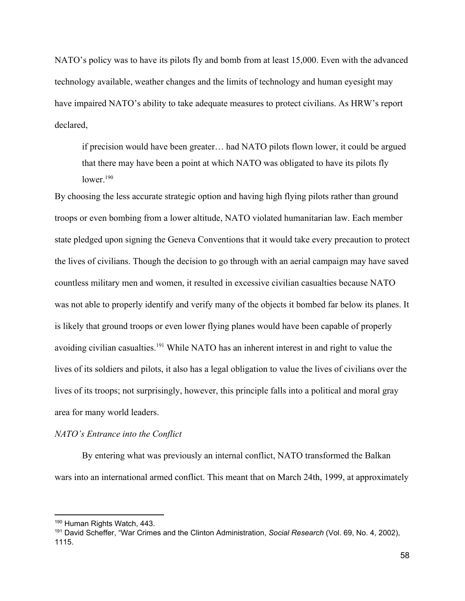NATO's policy was to have its pilots fly and bomb from at least 15,000. Even with the advanced technology available, weather changes and the limits of technology and human eyesight may have impaired NATO's ability to take adequate measures to protect civilians. As HRW's report declared,

if precision would have been greater… had NATO pilots flown lower, it could be argued that there may have been a point at which NATO was obligated to have its pilots fly lower.<sup>190</sup>

By choosing the less accurate strategic option and having high flying pilots rather than ground troops or even bombing from a lower altitude, NATO violated humanitarian law. Each member state pledged upon signing the Geneva Conventions that it would take every precaution to protect the lives of civilians. Though the decision to go through with an aerial campaign may have saved countless military men and women, it resulted in excessive civilian casualties because NATO was not able to properly identify and verify many of the objects it bombed far below its planes. It is likely that ground troops or even lower flying planes would have been capable of properly avoiding civilian casualties.<sup>191</sup> While NATO has an inherent interest in and right to value the lives of its soldiers and pilots, it also has a legal obligation to value the lives of civilians over the lives of its troops; not surprisingly, however, this principle falls into a political and moral gray area for many world leaders.

## *NATO's Entrance into the Conflict*

By entering what was previously an internal conflict, NATO transformed the Balkan wars into an international armed conflict. This meant that on March 24th, 1999, at approximately

<sup>&</sup>lt;sup>190</sup> Human Rights Watch, 443.

<sup>191</sup> David Scheffer, "War Crimes and the Clinton Administration, *Social Research* (Vol. 69, No. 4, 2002), 1115.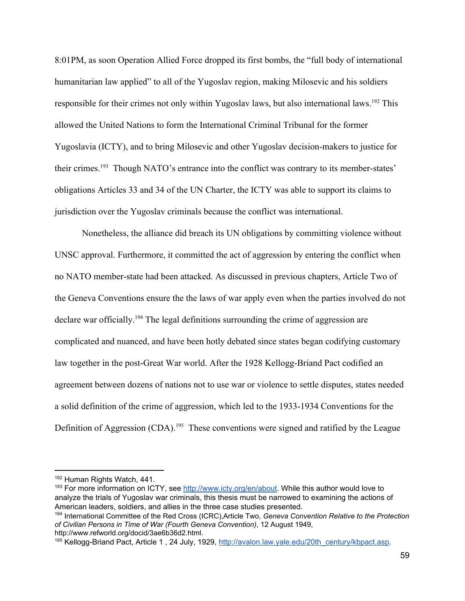8:01PM, as soon Operation Allied Force dropped its first bombs, the "full body of international humanitarian law applied" to all of the Yugoslav region, making Milosevic and his soldiers responsible for their crimes not only within Yugoslav laws, but also international laws.<sup>192</sup> This allowed the United Nations to form the International Criminal Tribunal for the former Yugoslavia (ICTY), and to bring Milosevic and other Yugoslav decision-makers to justice for their crimes.<sup>193</sup> Though NATO's entrance into the conflict was contrary to its member-states' obligations Articles 33 and 34 of the UN Charter, the ICTY was able to support its claims to jurisdiction over the Yugoslav criminals because the conflict was international.

Nonetheless, the alliance did breach its UN obligations by committing violence without UNSC approval. Furthermore, it committed the act of aggression by entering the conflict when no NATO member-state had been attacked. As discussed in previous chapters, Article Two of the Geneva Conventions ensure the the laws of war apply even when the parties involved do not declare war officially.<sup>194</sup> The legal definitions surrounding the crime of aggression are complicated and nuanced, and have been hotly debated since states began codifying customary law together in the post-Great War world. After the 1928 Kellogg-Briand Pact codified an agreement between dozens of nations not to use war or violence to settle disputes, states needed a solid definition of the crime of aggression, which led to the 1933-1934 Conventions for the Definition of Aggression (CDA).<sup>195</sup> These conventions were signed and ratified by the League

<sup>192</sup> Human Rights Watch, 441.

<sup>&</sup>lt;sup>193</sup> For more information on ICTY, see [http://www.icty.org/en/about.](http://www.icty.org/en/about) While this author would love to analyze the trials of Yugoslav war criminals, this thesis must be narrowed to examining the actions of American leaders, soldiers, and allies in the three case studies presented.

<sup>194</sup> International Committee of the Red Cross (ICRC),Article Two, *Geneva Convention Relative to the Protection of Civilian Persons in Time of War (Fourth Geneva Convention)*, 12 August 1949, http://www.refworld.org/docid/3ae6b36d2.html.

<sup>&</sup>lt;sup>195</sup> Kellogg-Briand Pact, Article 1, 24 July, 1929, [http://avalon.law.yale.edu/20th\\_century/kbpact.asp.](http://avalon.law.yale.edu/20th_century/kbpact.asp)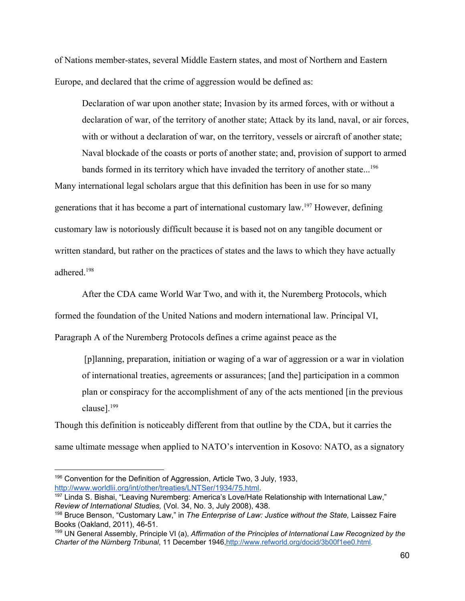of Nations member-states, several Middle Eastern states, and most of Northern and Eastern Europe, and declared that the crime of aggression would be defined as:

Declaration of war upon another state; Invasion by its armed forces, with or without a declaration of war, of the territory of another state; Attack by its land, naval, or air forces, with or without a declaration of war, on the territory, vessels or aircraft of another state; Naval blockade of the coasts or ports of another state; and, provision of support to armed

bands formed in its territory which have invaded the territory of another state...<sup>196</sup> Many international legal scholars argue that this definition has been in use for so many generations that it has become a part of international customary law. <sup>197</sup> However, defining customary law is notoriously difficult because it is based not on any tangible document or written standard, but rather on the practices of states and the laws to which they have actually adhered<sup>198</sup>

After the CDA came World War Two, and with it, the Nuremberg Protocols, which formed the foundation of the United Nations and modern international law. Principal VI, Paragraph A of the Nuremberg Protocols defines a crime against peace as the

 [p]lanning, preparation, initiation or waging of a war of aggression or a war in violation of international treaties, agreements or assurances; [and the] participation in a common plan or conspiracy for the accomplishment of any of the acts mentioned [in the previous clause].199

Though this definition is noticeably different from that outline by the CDA, but it carries the same ultimate message when applied to NATO's intervention in Kosovo: NATO, as a signatory

<sup>&</sup>lt;sup>196</sup> Convention for the Definition of Aggression, Article Two, 3 July, 1933, [http://www.worldlii.org/int/other/treaties/LNTSer/1934/75.html.](http://www.worldlii.org/int/other/treaties/LNTSer/1934/75.html)

<sup>&</sup>lt;sup>197</sup> Linda S. Bishai, "Leaving Nuremberg: America's Love/Hate Relationship with International Law," *Review of International Studies,* (Vol. 34, No. 3, July 2008), 438.

<sup>198</sup> Bruce Benson, "Customary Law," in *The Enterprise of Law: Justice without the State,* Laissez Faire Books (Oakland, 2011), 46-51.

<sup>199</sup> UN General Assembly, Principle VI (a), *Affirmation of the Principles of International Law Recognized by the Charter of the Nürnberg Tribunal*, 11 December 1946,[http://www.refworld.org/docid/3b00f1ee0.html.](http://www.refworld.org/docid/3b00f1ee0.html)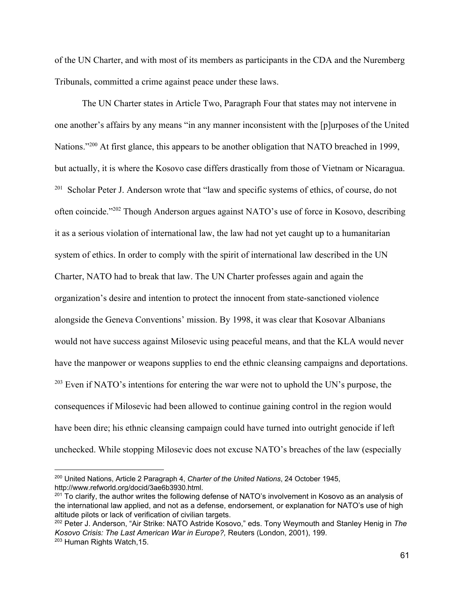of the UN Charter, and with most of its members as participants in the CDA and the Nuremberg Tribunals, committed a crime against peace under these laws.

The UN Charter states in Article Two, Paragraph Four that states may not intervene in one another's affairs by any means "in any manner inconsistent with the [p]urposes of the United Nations."<sup>200</sup> At first glance, this appears to be another obligation that NATO breached in 1999, but actually, it is where the Kosovo case differs drastically from those of Vietnam or Nicaragua. <sup>201</sup> Scholar Peter J. Anderson wrote that "law and specific systems of ethics, of course, do not often coincide."<sup>202</sup> Though Anderson argues against NATO's use of force in Kosovo, describing it as a serious violation of international law, the law had not yet caught up to a humanitarian system of ethics. In order to comply with the spirit of international law described in the UN Charter, NATO had to break that law. The UN Charter professes again and again the organization's desire and intention to protect the innocent from state-sanctioned violence alongside the Geneva Conventions' mission. By 1998, it was clear that Kosovar Albanians would not have success against Milosevic using peaceful means, and that the KLA would never have the manpower or weapons supplies to end the ethnic cleansing campaigns and deportations.  $^{203}$  Even if NATO's intentions for entering the war were not to uphold the UN's purpose, the consequences if Milosevic had been allowed to continue gaining control in the region would have been dire; his ethnic cleansing campaign could have turned into outright genocide if left unchecked. While stopping Milosevic does not excuse NATO's breaches of the law (especially

<sup>200</sup> United Nations, Article 2 Paragraph 4, *Charter of the United Nations*, 24 October 1945, http://www.refworld.org/docid/3ae6b3930.html.

 $201$  To clarify, the author writes the following defense of NATO's involvement in Kosovo as an analysis of the international law applied, and not as a defense, endorsement, or explanation for NATO's use of high altitude pilots or lack of verification of civilian targets.

<sup>202</sup> Peter J. Anderson, "Air Strike: NATO Astride Kosovo," eds. Tony Weymouth and Stanley Henig in *The Kosovo Crisis: The Last American War in Europe?,* Reuters (London, 2001), 199. <sup>203</sup> Human Rights Watch,15.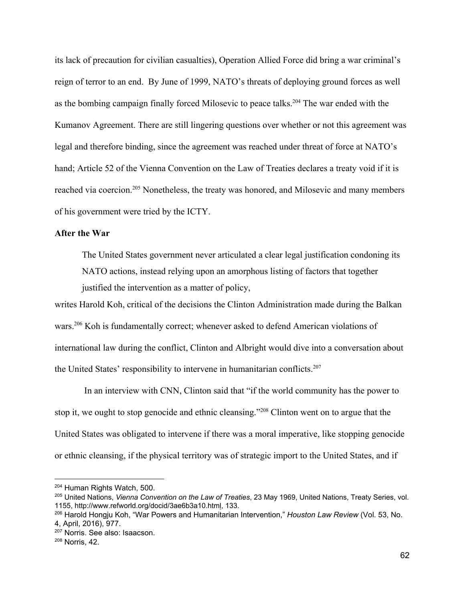its lack of precaution for civilian casualties), Operation Allied Force did bring a war criminal's reign of terror to an end. By June of 1999, NATO's threats of deploying ground forces as well as the bombing campaign finally forced Milosevic to peace talks.<sup>204</sup> The war ended with the Kumanov Agreement. There are still lingering questions over whether or not this agreement was legal and therefore binding, since the agreement was reached under threat of force at NATO's hand; Article 52 of the Vienna Convention on the Law of Treaties declares a treaty void if it is reached via coercion.<sup>205</sup> Nonetheless, the treaty was honored, and Milosevic and many members of his government were tried by the ICTY.

#### **After the War**

The United States government never articulated a clear legal justification condoning its NATO actions, instead relying upon an amorphous listing of factors that together justified the intervention as a matter of policy,

writes Harold Koh, critical of the decisions the Clinton Administration made during the Balkan wars.<sup>206</sup> Koh is fundamentally correct; whenever asked to defend American violations of international law during the conflict, Clinton and Albright would dive into a conversation about the United States' responsibility to intervene in humanitarian conflicts.<sup>207</sup>

 In an interview with CNN, Clinton said that "if the world community has the power to stop it, we ought to stop genocide and ethnic cleansing."<sup> $208$ </sup> Clinton went on to argue that the United States was obligated to intervene if there was a moral imperative, like stopping genocide or ethnic cleansing, if the physical territory was of strategic import to the United States, and if

<sup>204</sup> Human Rights Watch, 500.

<sup>205</sup> United Nations, *Vienna Convention on the Law of Treaties*, 23 May 1969, United Nations, Treaty Series, vol. 1155, http://www.refworld.org/docid/3ae6b3a10.ht[ml,](http://www.refworld.org/docid/3ae6b3a10.html) 133.

<sup>206</sup> Harold Hongju Koh, "War Powers and Humanitarian Intervention," *Houston Law Review* (Vol. 53, No. 4, April, 2016), 977.

<sup>207</sup> Norris. See also: Isaacson.

<sup>208</sup> Norris, 42.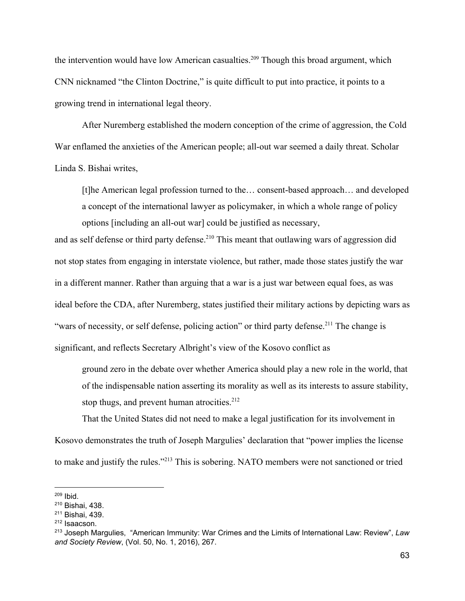the intervention would have low American casualties.<sup>209</sup> Though this broad argument, which CNN nicknamed "the Clinton Doctrine," is quite difficult to put into practice, it points to a growing trend in international legal theory.

After Nuremberg established the modern conception of the crime of aggression, the Cold War enflamed the anxieties of the American people; all-out war seemed a daily threat. Scholar Linda S. Bishai writes,

[t]he American legal profession turned to the… consent-based approach… and developed a concept of the international lawyer as policymaker, in which a whole range of policy options [including an all-out war] could be justified as necessary,

and as self defense or third party defense.<sup>210</sup> This meant that outlawing wars of aggression did not stop states from engaging in interstate violence, but rather, made those states justify the war in a different manner. Rather than arguing that a war is a just war between equal foes, as was ideal before the CDA, after Nuremberg, states justified their military actions by depicting wars as "wars of necessity, or self defense, policing action" or third party defense.<sup>211</sup> The change is significant, and reflects Secretary Albright's view of the Kosovo conflict as

ground zero in the debate over whether America should play a new role in the world, that of the indispensable nation asserting its morality as well as its interests to assure stability, stop thugs, and prevent human atrocities. $212$ 

That the United States did not need to make a legal justification for its involvement in Kosovo demonstrates the truth of Joseph Margulies' declaration that "power implies the license to make and justify the rules."<sup>213</sup> This is sobering. NATO members were not sanctioned or tried

<sup>209</sup> Ibid.

<sup>210</sup> Bishai, 438.

<sup>211</sup> Bishai, 439.

<sup>212</sup> Isaacson.

<sup>213</sup> Joseph Margulies, "American Immunity: War Crimes and the Limits of International Law: Review", *Law and Society Review*, (Vol. 50, No. 1, 2016), 267.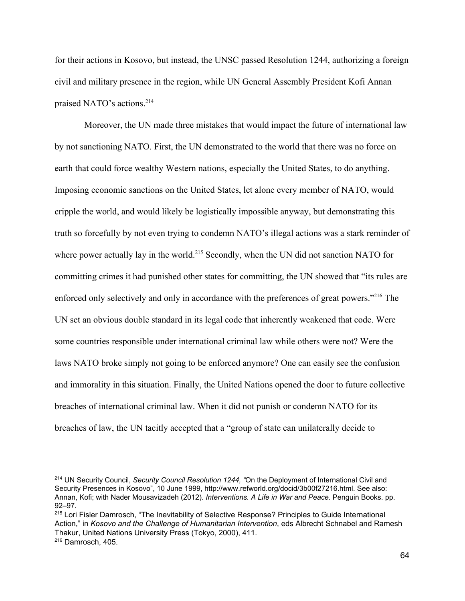for their actions in Kosovo, but instead, the UNSC passed Resolution 1244, authorizing a foreign civil and military presence in the region, while UN General Assembly President Kofi Annan praised NATO's actions.<sup>214</sup>

 Moreover, the UN made three mistakes that would impact the future of international law by not sanctioning NATO. First, the UN demonstrated to the world that there was no force on earth that could force wealthy Western nations, especially the United States, to do anything. Imposing economic sanctions on the United States, let alone every member of NATO, would cripple the world, and would likely be logistically impossible anyway, but demonstrating this truth so forcefully by not even trying to condemn NATO's illegal actions was a stark reminder of where power actually lay in the world.<sup>215</sup> Secondly, when the UN did not sanction NATO for committing crimes it had punished other states for committing, the UN showed that "its rules are enforced only selectively and only in accordance with the preferences of great powers."<sup> $216$ </sup> The UN set an obvious double standard in its legal code that inherently weakened that code. Were some countries responsible under international criminal law while others were not? Were the laws NATO broke simply not going to be enforced anymore? One can easily see the confusion and immorality in this situation. Finally, the United Nations opened the door to future collective breaches of international criminal law. When it did not punish or condemn NATO for its breaches of law, the UN tacitly accepted that a "group of state can unilaterally decide to

<sup>214</sup> UN Security Council, *Security Council Resolution 1244, "*On the Deployment of International Civil and Security Presences in Kosovo", 10 June 1999, http://www.refworld.org/docid/3b00f27216.html. See also: Annan, Kofi; with Nader Mousavizadeh (2012). *Interventions. A Life in War and Peace*. Penguin Books. pp. 92–97.

<sup>&</sup>lt;sup>215</sup> Lori Fisler Damrosch, "The Inevitability of Selective Response? Principles to Guide International Action," in *Kosovo and the Challenge of Humanitarian Intervention*, eds Albrecht Schnabel and Ramesh Thakur, United Nations University Press (Tokyo, 2000), 411.

<sup>216</sup> Damrosch, 405.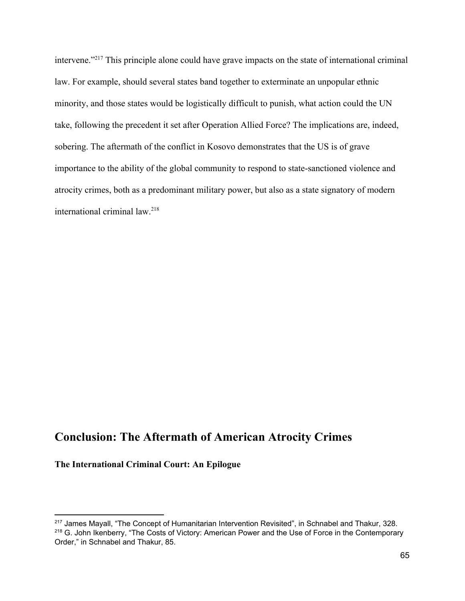intervene."<sup> $217$ </sup> This principle alone could have grave impacts on the state of international criminal law. For example, should several states band together to exterminate an unpopular ethnic minority, and those states would be logistically difficult to punish, what action could the UN take, following the precedent it set after Operation Allied Force? The implications are, indeed, sobering. The aftermath of the conflict in Kosovo demonstrates that the US is of grave importance to the ability of the global community to respond to state-sanctioned violence and atrocity crimes, both as a predominant military power, but also as a state signatory of modern international criminal law.218

# **Conclusion: The Aftermath of American Atrocity Crimes**

**The International Criminal Court: An Epilogue**

<sup>&</sup>lt;sup>217</sup> James Mayall, "The Concept of Humanitarian Intervention Revisited", in Schnabel and Thakur, 328. <sup>218</sup> G. John Ikenberry, "The Costs of Victory: American Power and the Use of Force in the Contemporary Order," in Schnabel and Thakur, 85.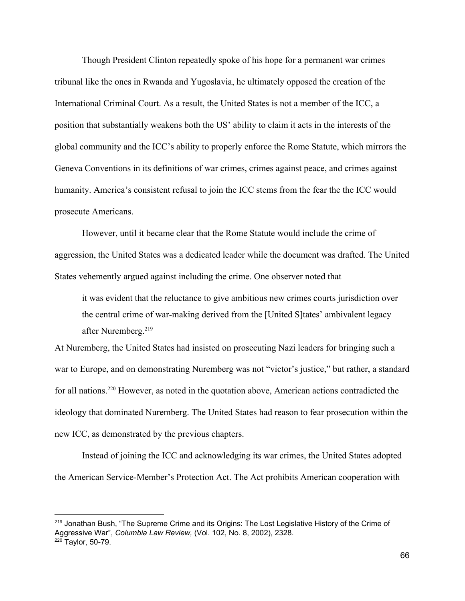Though President Clinton repeatedly spoke of his hope for a permanent war crimes tribunal like the ones in Rwanda and Yugoslavia, he ultimately opposed the creation of the International Criminal Court. As a result, the United States is not a member of the ICC, a position that substantially weakens both the US' ability to claim it acts in the interests of the global community and the ICC's ability to properly enforce the Rome Statute, which mirrors the Geneva Conventions in its definitions of war crimes, crimes against peace, and crimes against humanity. America's consistent refusal to join the ICC stems from the fear the the ICC would prosecute Americans.

However, until it became clear that the Rome Statute would include the crime of aggression, the United States was a dedicated leader while the document was drafted. The United States vehemently argued against including the crime. One observer noted that

it was evident that the reluctance to give ambitious new crimes courts jurisdiction over the central crime of war-making derived from the [United S]tates' ambivalent legacy after Nuremberg.219

At Nuremberg, the United States had insisted on prosecuting Nazi leaders for bringing such a war to Europe, and on demonstrating Nuremberg was not "victor's justice," but rather, a standard for all nations.<sup>220</sup> However, as noted in the quotation above, American actions contradicted the ideology that dominated Nuremberg. The United States had reason to fear prosecution within the new ICC, as demonstrated by the previous chapters.

Instead of joining the ICC and acknowledging its war crimes, the United States adopted the American Service-Member's Protection Act. The Act prohibits American cooperation with

<sup>&</sup>lt;sup>219</sup> Jonathan Bush, "The Supreme Crime and its Origins: The Lost Legislative History of the Crime of Aggressive War", *Columbia Law Review,* (Vol. 102, No. 8, 2002), 2328.  $220$  Taylor, 50-79.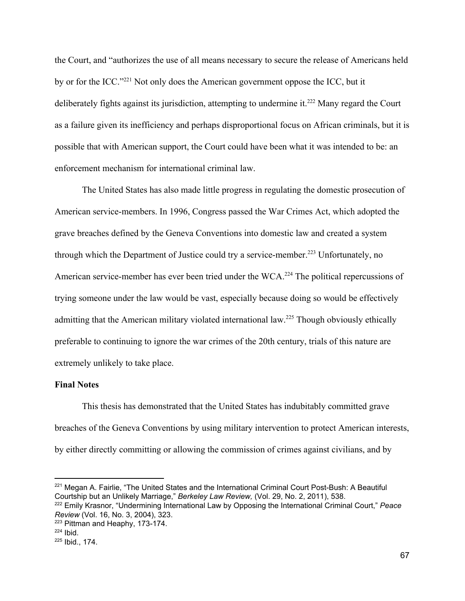the Court, and "authorizes the use of all means necessary to secure the release of Americans held by or for the ICC."<sup> $221$ </sup> Not only does the American government oppose the ICC, but it deliberately fights against its jurisdiction, attempting to undermine it.<sup> $222$ </sup> Many regard the Court as a failure given its inefficiency and perhaps disproportional focus on African criminals, but it is possible that with American support, the Court could have been what it was intended to be: an enforcement mechanism for international criminal law.

The United States has also made little progress in regulating the domestic prosecution of American service-members. In 1996, Congress passed the War Crimes Act, which adopted the grave breaches defined by the Geneva Conventions into domestic law and created a system through which the Department of Justice could try a service-member.<sup>223</sup> Unfortunately, no American service-member has ever been tried under the WCA.<sup>224</sup> The political repercussions of trying someone under the law would be vast, especially because doing so would be effectively admitting that the American military violated international law.<sup>225</sup> Though obviously ethically preferable to continuing to ignore the war crimes of the 20th century, trials of this nature are extremely unlikely to take place.

### **Final Notes**

This thesis has demonstrated that the United States has indubitably committed grave breaches of the Geneva Conventions by using military intervention to protect American interests, by either directly committing or allowing the commission of crimes against civilians, and by

<sup>&</sup>lt;sup>221</sup> Megan A. Fairlie, "The United States and the International Criminal Court Post-Bush: A Beautiful Courtship but an Unlikely Marriage," *Berkeley Law Review,* (Vol. 29, No. 2, 2011), 538. <sup>222</sup> Emily Krasnor, "Undermining International Law by Opposing the International Criminal Court," *Peace*

*Review* (Vol. 16, No. 3, 2004), 323.

<sup>&</sup>lt;sup>223</sup> Pittman and Heaphy, 173-174.

 $224$  Ibid.

 $225$  Ibid., 174.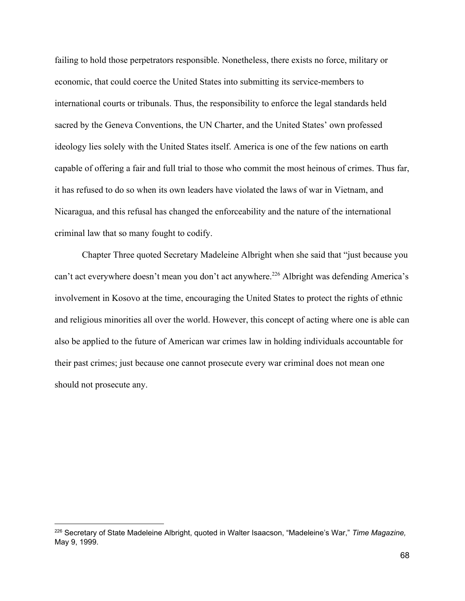failing to hold those perpetrators responsible. Nonetheless, there exists no force, military or economic, that could coerce the United States into submitting its service-members to international courts or tribunals. Thus, the responsibility to enforce the legal standards held sacred by the Geneva Conventions, the UN Charter, and the United States' own professed ideology lies solely with the United States itself. America is one of the few nations on earth capable of offering a fair and full trial to those who commit the most heinous of crimes. Thus far, it has refused to do so when its own leaders have violated the laws of war in Vietnam, and Nicaragua, and this refusal has changed the enforceability and the nature of the international criminal law that so many fought to codify.

Chapter Three quoted Secretary Madeleine Albright when she said that "just because you can't act everywhere doesn't mean you don't act anywhere.<sup>226</sup> Albright was defending America's involvement in Kosovo at the time, encouraging the United States to protect the rights of ethnic and religious minorities all over the world. However, this concept of acting where one is able can also be applied to the future of American war crimes law in holding individuals accountable for their past crimes; just because one cannot prosecute every war criminal does not mean one should not prosecute any.

<sup>226</sup> Secretary of State Madeleine Albright, quoted in Walter Isaacson, "Madeleine's War," *Time Magazine,* May 9, 1999.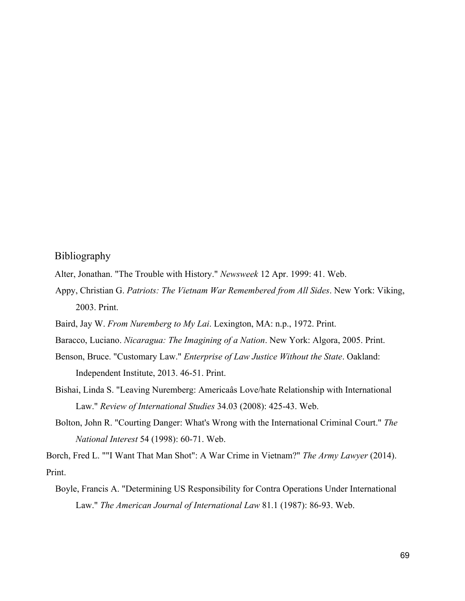## Bibliography

- Alter, Jonathan. "The Trouble with History." *Newsweek* 12 Apr. 1999: 41. Web.
- Appy, Christian G. *Patriots: The Vietnam War Remembered from All Sides*. New York: Viking, 2003. Print.
- Baird, Jay W. *From Nuremberg to My Lai*. Lexington, MA: n.p., 1972. Print.
- Baracco, Luciano. *Nicaragua: The Imagining of a Nation*. New York: Algora, 2005. Print.
- Benson, Bruce. "Customary Law." *Enterprise of Law Justice Without the State*. Oakland: Independent Institute, 2013. 46-51. Print.
- Bishai, Linda S. "Leaving Nuremberg: Americaâs Love/hate Relationship with International Law." *Review of International Studies* 34.03 (2008): 425-43. Web.
- Bolton, John R. "Courting Danger: What's Wrong with the International Criminal Court." *The National Interest* 54 (1998): 60-71. Web.

Borch, Fred L. ""I Want That Man Shot": A War Crime in Vietnam?" *The Army Lawyer* (2014). Print.

Boyle, Francis A. "Determining US Responsibility for Contra Operations Under International Law." *The American Journal of International Law* 81.1 (1987): 86-93. Web.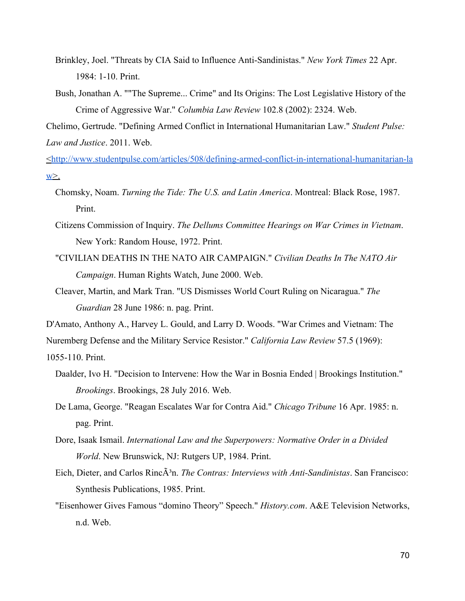- Brinkley, Joel. "Threats by CIA Said to Influence Anti-Sandinistas." *New York Times* 22 Apr. 1984: 1-10. Print.
- Bush, Jonathan A. ""The Supreme... Crime" and Its Origins: The Lost Legislative History of the Crime of Aggressive War." *Columbia Law Review* 102.8 (2002): 2324. Web.

Chelimo, Gertrude. "Defining Armed Conflict in International Humanitarian Law." *Student Pulse: Law and Justice*. 2011. Web.

<[http://www.studentpulse.com/articles/508/defining-armed-conflict-in-international-humanitarian-la](http://www.studentpulse.com/articles/508/defining-armed-conflict-in-international-humanitarian-law)  $W^>$ .

- Chomsky, Noam. *Turning the Tide: The U.S. and Latin America*. Montreal: Black Rose, 1987. Print.
- Citizens Commission of Inquiry. *The Dellums Committee Hearings on War Crimes in Vietnam*. New York: Random House, 1972. Print.
- "CIVILIAN DEATHS IN THE NATO AIR CAMPAIGN." *Civilian Deaths In The NATO Air Campaign*. Human Rights Watch, June 2000. Web.
- Cleaver, Martin, and Mark Tran. "US Dismisses World Court Ruling on Nicaragua." *The Guardian* 28 June 1986: n. pag. Print.

D'Amato, Anthony A., Harvey L. Gould, and Larry D. Woods. "War Crimes and Vietnam: The

Nuremberg Defense and the Military Service Resistor." *California Law Review* 57.5 (1969):

1055-110. Print.

- Daalder, Ivo H. "Decision to Intervene: How the War in Bosnia Ended | Brookings Institution." *Brookings*. Brookings, 28 July 2016. Web.
- De Lama, George. "Reagan Escalates War for Contra Aid." *Chicago Tribune* 16 Apr. 1985: n. pag. Print.
- Dore, Isaak Ismail. *International Law and the Superpowers: Normative Order in a Divided World*. New Brunswick, NJ: Rutgers UP, 1984. Print.
- Eich, Dieter, and Carlos RincÂ<sup>3</sup>n. *The Contras: Interviews with Anti-Sandinistas*. San Francisco: Synthesis Publications, 1985. Print.
- "Eisenhower Gives Famous "domino Theory" Speech." *History.com*. A&E Television Networks, n.d. Web.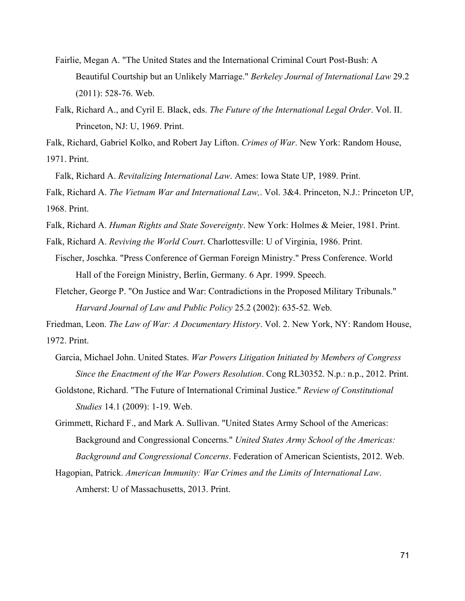- Fairlie, Megan A. "The United States and the International Criminal Court Post-Bush: A Beautiful Courtship but an Unlikely Marriage." *Berkeley Journal of International Law* 29.2 (2011): 528-76. Web.
- Falk, Richard A., and Cyril E. Black, eds. *The Future of the International Legal Order*. Vol. II. Princeton, NJ: U, 1969. Print.

Falk, Richard, Gabriel Kolko, and Robert Jay Lifton. *Crimes of War*. New York: Random House, 1971. Print.

Falk, Richard A. *Revitalizing International Law*. Ames: Iowa State UP, 1989. Print.

Falk, Richard A. *The Vietnam War and International Law,*. Vol. 3&4. Princeton, N.J.: Princeton UP, 1968. Print.

Falk, Richard A. *Human Rights and State Sovereignty*. New York: Holmes & Meier, 1981. Print.

Falk, Richard A. *Reviving the World Court*. Charlottesville: U of Virginia, 1986. Print.

- Fischer, Joschka. "Press Conference of German Foreign Ministry." Press Conference. World Hall of the Foreign Ministry, Berlin, Germany. 6 Apr. 1999. Speech.
- Fletcher, George P. "On Justice and War: Contradictions in the Proposed Military Tribunals." *Harvard Journal of Law and Public Policy* 25.2 (2002): 635-52. Web.

Friedman, Leon. *The Law of War: A Documentary History*. Vol. 2. New York, NY: Random House, 1972. Print.

- Garcia, Michael John. United States. *War Powers Litigation Initiated by Members of Congress Since the Enactment of the War Powers Resolution*. Cong RL30352. N.p.: n.p., 2012. Print.
- Goldstone, Richard. "The Future of International Criminal Justice." *Review of Constitutional Studies* 14.1 (2009): 1-19. Web.
- Grimmett, Richard F., and Mark A. Sullivan. "United States Army School of the Americas: Background and Congressional Concerns." *United States Army School of the Americas: Background and Congressional Concerns*. Federation of American Scientists, 2012. Web.

Hagopian, Patrick. *American Immunity: War Crimes and the Limits of International Law*. Amherst: U of Massachusetts, 2013. Print.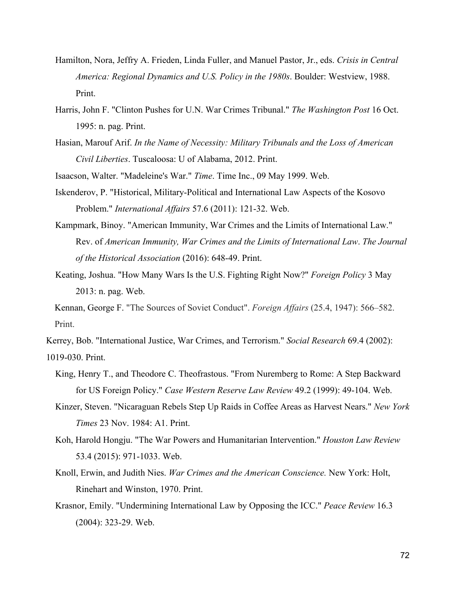- Hamilton, Nora, Jeffry A. Frieden, Linda Fuller, and Manuel Pastor, Jr., eds. *Crisis in Central America: Regional Dynamics and U.S. Policy in the 1980s*. Boulder: Westview, 1988. Print.
- Harris, John F. "Clinton Pushes for U.N. War Crimes Tribunal." *The Washington Post* 16 Oct. 1995: n. pag. Print.
- Hasian, Marouf Arif. *In the Name of Necessity: Military Tribunals and the Loss of American Civil Liberties*. Tuscaloosa: U of Alabama, 2012. Print.
- Isaacson, Walter. "Madeleine's War." *Time*. Time Inc., 09 May 1999. Web.
- Iskenderov, P. "Historical, Military-Political and International Law Aspects of the Kosovo Problem." *International Affairs* 57.6 (2011): 121-32. Web.
- Kampmark, Binoy. "American Immunity, War Crimes and the Limits of International Law." Rev. of *American Immunity, War Crimes and the Limits of International Law*. *The Journal of the Historical Association* (2016): 648-49. Print.
- Keating, Joshua. "How Many Wars Is the U.S. Fighting Right Now?" *Foreign Policy* 3 May 2013: n. pag. Web.
- Kennan, George F. "The Sources of Soviet Conduct". *Foreign Affairs* (25.4, 1947): 566–582. Print.
- Kerrey, Bob. "International Justice, War Crimes, and Terrorism." *Social Research* 69.4 (2002): 1019-030. Print.
	- King, Henry T., and Theodore C. Theofrastous. "From Nuremberg to Rome: A Step Backward for US Foreign Policy." *Case Western Reserve Law Review* 49.2 (1999): 49-104. Web.
	- Kinzer, Steven. "Nicaraguan Rebels Step Up Raids in Coffee Areas as Harvest Nears." *New York Times* 23 Nov. 1984: A1. Print.
	- Koh, Harold Hongju. "The War Powers and Humanitarian Intervention." *Houston Law Review* 53.4 (2015): 971-1033. Web.
	- Knoll, Erwin, and Judith Nies. *War Crimes and the American Conscience.* New York: Holt, Rinehart and Winston, 1970. Print.
	- Krasnor, Emily. "Undermining International Law by Opposing the ICC." *Peace Review* 16.3 (2004): 323-29. Web.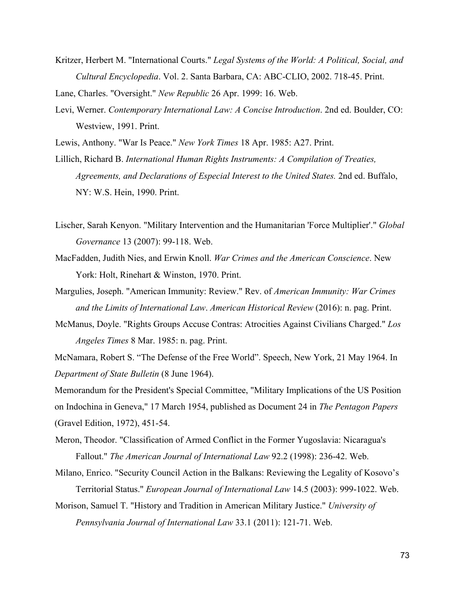Kritzer, Herbert M. "International Courts." *Legal Systems of the World: A Political, Social, and Cultural Encyclopedia*. Vol. 2. Santa Barbara, CA: ABC-CLIO, 2002. 718-45. Print.

Lane, Charles. "Oversight." *New Republic* 26 Apr. 1999: 16. Web.

Levi, Werner. *Contemporary International Law: A Concise Introduction*. 2nd ed. Boulder, CO: Westview, 1991. Print.

Lewis, Anthony. "War Is Peace." *New York Times* 18 Apr. 1985: A27. Print.

Lillich, Richard B. *International Human Rights Instruments: A Compilation of Treaties, Agreements, and Declarations of Especial Interest to the United States.* 2nd ed. Buffalo, NY: W.S. Hein, 1990. Print.

- Lischer, Sarah Kenyon. "Military Intervention and the Humanitarian 'Force Multiplier'." *Global Governance* 13 (2007): 99-118. Web.
- MacFadden, Judith Nies, and Erwin Knoll. *War Crimes and the American Conscience*. New York: Holt, Rinehart & Winston, 1970. Print.
- Margulies, Joseph. "American Immunity: Review." Rev. of *American Immunity: War Crimes and the Limits of International Law*. *American Historical Review* (2016): n. pag. Print.
- McManus, Doyle. "Rights Groups Accuse Contras: Atrocities Against Civilians Charged." *Los Angeles Times* 8 Mar. 1985: n. pag. Print.

McNamara, Robert S. "The Defense of the Free World". Speech, New York, 21 May 1964. In *Department of State Bulletin* (8 June 1964).

Memorandum for the President's Special Committee, "Military Implications of the US Position on Indochina in Geneva," 17 March 1954, published as Document 24 in *The Pentagon Papers* (Gravel Edition, 1972), 451-54.

Meron, Theodor. "Classification of Armed Conflict in the Former Yugoslavia: Nicaragua's Fallout." *The American Journal of International Law* 92.2 (1998): 236-42. Web.

Milano, Enrico. "Security Council Action in the Balkans: Reviewing the Legality of Kosovo's Territorial Status." *European Journal of International Law* 14.5 (2003): 999-1022. Web.

Morison, Samuel T. "History and Tradition in American Military Justice." *University of Pennsylvania Journal of International Law* 33.1 (2011): 121-71. Web.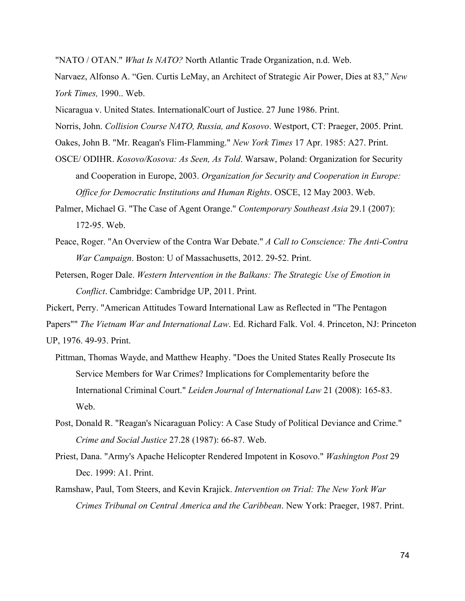"NATO / OTAN." *What Is NATO?* North Atlantic Trade Organization, n.d. Web.

Narvaez, Alfonso A. "Gen. Curtis LeMay, an Architect of Strategic Air Power, Dies at 83," *New York Times,* 1990.. Web.

Nicaragua v. United States. InternationalCourt of Justice. 27 June 1986. Print.

Norris, John. *Collision Course NATO, Russia, and Kosovo*. Westport, CT: Praeger, 2005. Print.

Oakes, John B. "Mr. Reagan's Flim-Flamming." *New York Times* 17 Apr. 1985: A27. Print.

- OSCE/ ODIHR. *Kosovo/Kosova: As Seen, As Told*. Warsaw, Poland: Organization for Security and Cooperation in Europe, 2003. *Organization for Security and Cooperation in Europe: Office for Democratic Institutions and Human Rights*. OSCE, 12 May 2003. Web.
- Palmer, Michael G. "The Case of Agent Orange." *Contemporary Southeast Asia* 29.1 (2007): 172-95. Web.
- Peace, Roger. "An Overview of the Contra War Debate." *A Call to Conscience: The Anti-Contra War Campaign*. Boston: U of Massachusetts, 2012. 29-52. Print.
- Petersen, Roger Dale. *Western Intervention in the Balkans: The Strategic Use of Emotion in Conflict*. Cambridge: Cambridge UP, 2011. Print.

Pickert, Perry. "American Attitudes Toward International Law as Reflected in "The Pentagon

Papers"" *The Vietnam War and International Law*. Ed. Richard Falk. Vol. 4. Princeton, NJ: Princeton

UP, 1976. 49-93. Print.

- Pittman, Thomas Wayde, and Matthew Heaphy. "Does the United States Really Prosecute Its Service Members for War Crimes? Implications for Complementarity before the International Criminal Court." *Leiden Journal of International Law* 21 (2008): 165-83. Web.
- Post, Donald R. "Reagan's Nicaraguan Policy: A Case Study of Political Deviance and Crime." *Crime and Social Justice* 27.28 (1987): 66-87. Web.
- Priest, Dana. "Army's Apache Helicopter Rendered Impotent in Kosovo." *Washington Post* 29 Dec. 1999: A1. Print.
- Ramshaw, Paul, Tom Steers, and Kevin Krajick. *Intervention on Trial: The New York War Crimes Tribunal on Central America and the Caribbean*. New York: Praeger, 1987. Print.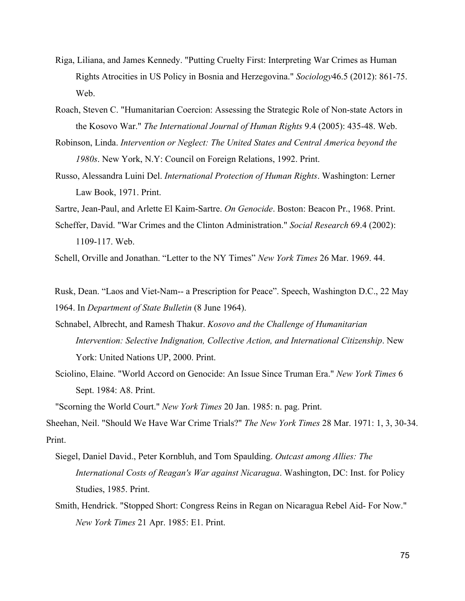- Riga, Liliana, and James Kennedy. "Putting Cruelty First: Interpreting War Crimes as Human Rights Atrocities in US Policy in Bosnia and Herzegovina." *Sociology*46.5 (2012): 861-75. Web.
- Roach, Steven C. "Humanitarian Coercion: Assessing the Strategic Role of Non-state Actors in the Kosovo War." *The International Journal of Human Rights* 9.4 (2005): 435-48. Web.
- Robinson, Linda. *Intervention or Neglect: The United States and Central America beyond the 1980s*. New York, N.Y: Council on Foreign Relations, 1992. Print.
- Russo, Alessandra Luini Del. *International Protection of Human Rights*. Washington: Lerner Law Book, 1971. Print.
- Sartre, Jean-Paul, and Arlette El Kaim-Sartre. *On Genocide*. Boston: Beacon Pr., 1968. Print.
- Scheffer, David. "War Crimes and the Clinton Administration." *Social Research* 69.4 (2002): 1109-117. Web.

Schell, Orville and Jonathan. "Letter to the NY Times" *New York Times* 26 Mar. 1969. 44.

Rusk, Dean. "Laos and Viet-Nam-- a Prescription for Peace". Speech, Washington D.C., 22 May 1964. In *Department of State Bulletin* (8 June 1964).

- Schnabel, Albrecht, and Ramesh Thakur. *Kosovo and the Challenge of Humanitarian Intervention: Selective Indignation, Collective Action, and International Citizenship*. New York: United Nations UP, 2000. Print.
- Sciolino, Elaine. "World Accord on Genocide: An Issue Since Truman Era." *New York Times* 6 Sept. 1984: A8. Print.

"Scorning the World Court." *New York Times* 20 Jan. 1985: n. pag. Print.

Sheehan, Neil. "Should We Have War Crime Trials?" *The New York Times* 28 Mar. 1971: 1, 3, 30-34. Print.

- Siegel, Daniel David., Peter Kornbluh, and Tom Spaulding. *Outcast among Allies: The International Costs of Reagan's War against Nicaragua*. Washington, DC: Inst. for Policy Studies, 1985. Print.
- Smith, Hendrick. "Stopped Short: Congress Reins in Regan on Nicaragua Rebel Aid- For Now." *New York Times* 21 Apr. 1985: E1. Print.